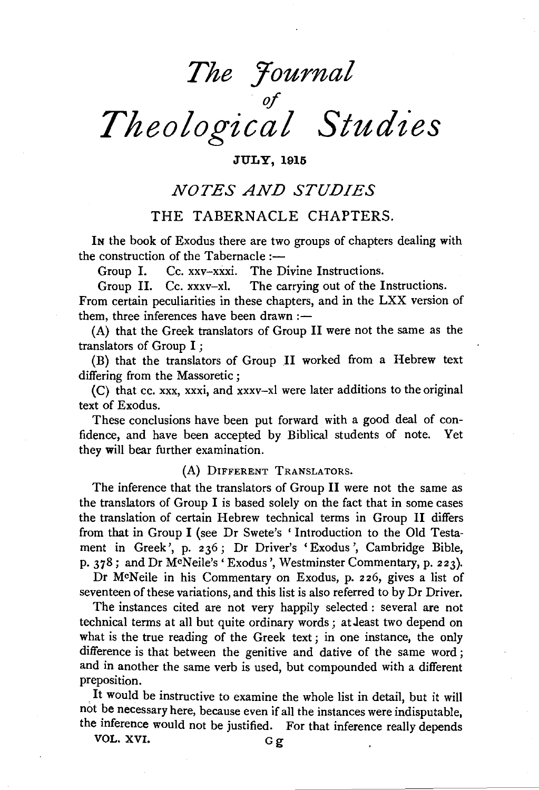# *The Yournal*   ${\mathscr f}$  . *Theological Studies*

#### **JULY, 1915**

## *NOTES AND STUDIES*

#### THE TABERNACLE CHAPTERS.

IN the book of Exodus there are two groups of chapters dealing with the construction of the Tabernacle :-

Group I. Cc. xxv-xxxi. The Divine Instructions.

Group II. Cc. xxxv-xl. The carrying out of the Instructions.

From certain peculiarities in these chapters, and in the LXX version of them, three inferences have been drawn: $-$ 

(A) that the Greek translators of Group II were not the same as the translators of Group I ;

(B) that the translators of Group **.II** worked from a Hebrew text differing from the Massoretic ;

( C) that cc. xxx, xxxi, and xxxv-xl were later additions to the original text of Exodus.

These conclusions have been put forward with a good deal of confidence, and have been accepted by Biblical students of note. Yet they will bear further examination.

#### (A) DIFFERENT TRANSLATORS.

The inference that the translators of Group II were not the same as the translators of Group I is based solely on the fact that in some cases the translation of certain Hebrew technical terms in Group II differs from that in Group I (see Dr Swete's ' Introduction to the Old Testament in Greek', p. 236; Dr Driver's 'Exodus', Cambridge Bible, p. 378; and Dr McNeile's 'Exodus', Westminster Commentary, p. 223).

Dr McNeile in his Commentary on Exodus, p. 226, gives a list of seventeen of these variations, and this list is also referred to by Dr Driver.

The instances cited are not very happily selected : several are not technical terms at all but quite ordinary words; atJeast two depend on what is the true reading of the Greek text ; in one instance, the only difference is that between the genitive and dative of the same word; and in another the same verb is used, but compounded with a different preposition.

It would be instructive to examine the whole list in detail, but it will not be necessary here, because even if all the instances were indisputable, the inference would not be justified. For that inference really depends

VOL. XVI.  $G\sigma$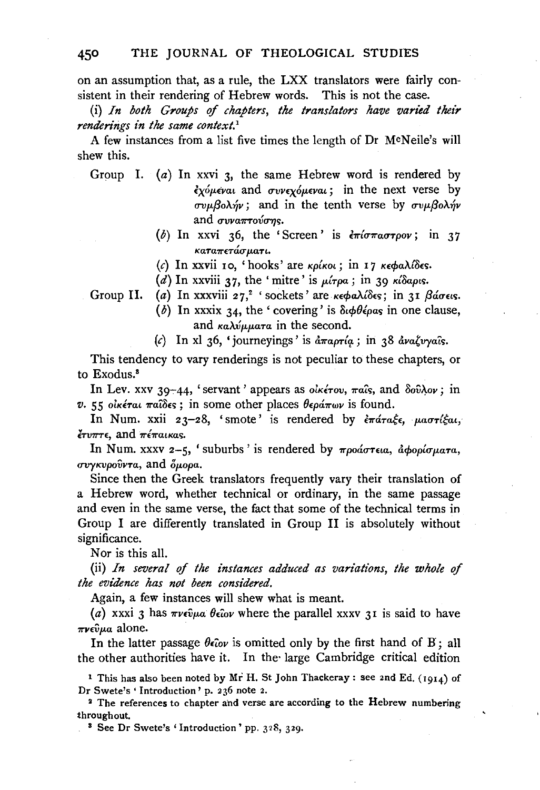on an assumption that, as a rule, the LXX translators were fairly consistent in their rendering of Hebrew words. This is not the case.

(i) *In both Groups* of *chapters, the translators have varied their renderings in the same context.*<sup>1</sup>

A few instances from a list five times the length of Dr McNeile's will shew this.

Group I. (a) In xxvi 3, the same Hebrew word is rendered by  $\epsilon$ *χόμεναι* and *συνεχόμεναι*; in the next verse by  $\sigma v \mu \beta o \lambda \gamma$ ; and in the tenth verse by  $\sigma v \mu \beta o \lambda \gamma v$ and *ovvantovons*.

- (b) In xxvi 36, the 'Screen' is  $\epsilon \pi i \sigma \pi \alpha \sigma \tau \rho \circ \nu$ ; in 37 *Ka'Ta7r£'Ta<Tp..a'Ti.* '
- (c) In xxvii 10, 'hooks' are *κρίκοι*; in 17 *κεφαλίδες*.
- (d) In xxviii 37, the 'mitre' is  $\mu$ *irpa*; in 39 *K* $\delta$ apis.

Group II. (a) In xxxviii 27,<sup>2</sup> 'sockets' are *κεφαλίδες*; in 31 βάσεις.

- (b) In xxxix 34, the 'covering' is  $\delta \phi \theta \epsilon \rho \alpha s$  in one clause, and *καλύμματα* in the second.
- (c) In xl 36, 'journeyings' is  $\frac{\partial \pi}{\partial r}$  in 38  $\frac{\partial \pi}{\partial r}$  *avaly vais.*

This tendency to vary renderings is not peculiar to these chapters, or to Exodus.<sup>8</sup>

In Lev. xxv 39-44, 'servant' appears as *οικέτον*, παΐς, and δούλον; in *v.* 55 οικέται παίδες; in some other places θεράπων is found.

In Num. xxii 23-28, 'smote' is rendered by  $\epsilon \pi \alpha \pi \epsilon \epsilon$ ,  $\mu \alpha \sigma \tau \ell \epsilon \alpha$ , *lro7rT£*1 and *7rE7ratKa<;.* 

In Num. xxxv 2-5, 'suburbs' is rendered by προάστεια, αφορίσματα, *συγκυρούντα*, and *δμορα.* 

Since then the Greek translators frequently vary their translation of a Hebrew word, whether technical or ordinary, in the same passage and even in the same verse, the fact that some of the technical terms in Group I are differently translated in Group II is absolutely without significance.

Nor is this all.

(ii) *In several of the instances adduced as variations, the whole of the evidence has not been considered.* 

Again, a few instances will shew what is meant.

(a) xxxi 3 has  $\pi\nu\epsilon\hat{\nu}\mu a \theta \epsilon\hat{\iota} o \nu$  where the parallel xxxv 31 is said to have *7rV£vµ,a* alone.

In the latter passage  $\theta \epsilon_{i}$  is omitted only by the first hand of B; all the other authorities have it. In the· large Cambridge critical edition

1 This has also been noted by Mr H. St John Thackeray: see 2nd Ed. (1914) of Dr Swete's ' Introduction' p. 2 36 note 2.

<sup>2</sup> The references to chapter and verse are according to the Hebrew numbering throughout. 8 See Dr Swete's 'Introduction' pp. 328, 329.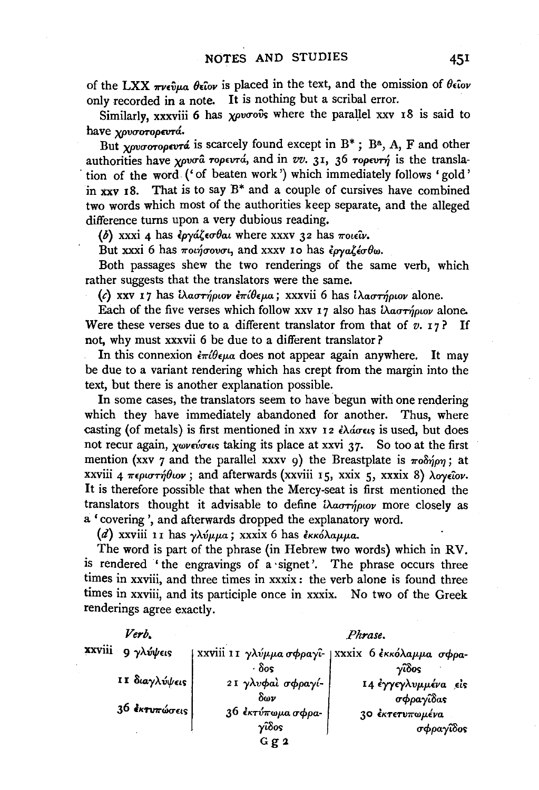of the LXX  $\pi\nu\epsilon\hat{v}\mu a$   $\theta\epsilon\hat{i}ov$  is placed in the text, and the omission of  $\theta\epsilon\hat{i}ov$ only recorded in a note. It is nothing but a scribal error.

Similarly, xxxviii 6 has *xpvoovs* where the parallel xxv 18 is said to have *yovoroperrá*.

But *YOUTOTOPEVTA* is scarcely found except in B<sup>\*</sup>; B<sup>a</sup>, A, F and other authorities have *xpvo<sup>a</sup>* ropevrá, and in *vv.* 31, 36 ropevr*n* is the transla-. tion of the word ('of beaten work') which immediately follows 'gold' in xxv  $18$ . That is to say  $B^*$  and a couple of cursives have combined two words which most of the authorities keep separate, and the alleged difference turns upon a very dubious reading.

(b) xxxi 4 has  $\epsilon \rho y \alpha \zeta \epsilon \sigma \theta \alpha \iota$  where xxxv 32 has  $\pi \omega \epsilon \hat{\nu}$ .

But xxxi 6 has  $\pi$ oinovou, and xxxv 10 has  $\epsilon_{\rho\gamma\alpha\zeta\epsilon\sigma}\theta_{\omega}$ .

Both passages shew the two renderings of the same verb, which rather suggests that the translators were the same.

(c) xxv 17 has *ίλαστήριον επίθεμα*; xxxvii 6 has *ίλαστήριον* alone.

Each of the five verses which follow xxv 17 also has  $\lambda a \sigma \tau \gamma \rho \omega \nu$  alone. Were these verses due to a different translator from that of  $v$ . 17? If not, why must xxxvii 6 be due to a different translator?

In this connexion  $\partial \tau \partial \epsilon \mu a$  does not appear again anywhere. It may be due to a variant rendering which has crept from the margin into the text, but there is another explanation possible.

In some cases, the translators seem to have begun with one rendering which they have immediately abandoned for another. Thus, where casting (of metals) is first mentioned in xxv 12 ελάσεις is used, but does not recur again, *χωνεύσεις* taking its place at xxvi 37. So too at the first mention (xxv 7 and the parallel xxxv 9) the Breastplate is  $\pi \partial \phi \hat{p}$ ; at xxviii 4 περιστήθιον; and afterwards (xxviii 15, xxix 5, xxxix 8) *λογείον*. It is therefore possible that when the Mercy-seat is first mentioned the translators thought it advisable to define  $i\lambda a\sigma\tau\acute{\eta}\rho\omega\nu$  more closely as a ' covering ', and afterwards dropped the explanatory word.

(d) xxviii 11 has *γλύμμα*; xxxix 6 has εκκόλαμμα.

The word is part of the phrase (in Hebrew two words) which in RV. is rendered 'the engravings of a ·signet'. The phrase occurs three times in xxviii, and three times in xxxix : the verb alone is found three times in xxviii, and its participle once in xxxix. No two of the Greek renderings agree exactly.

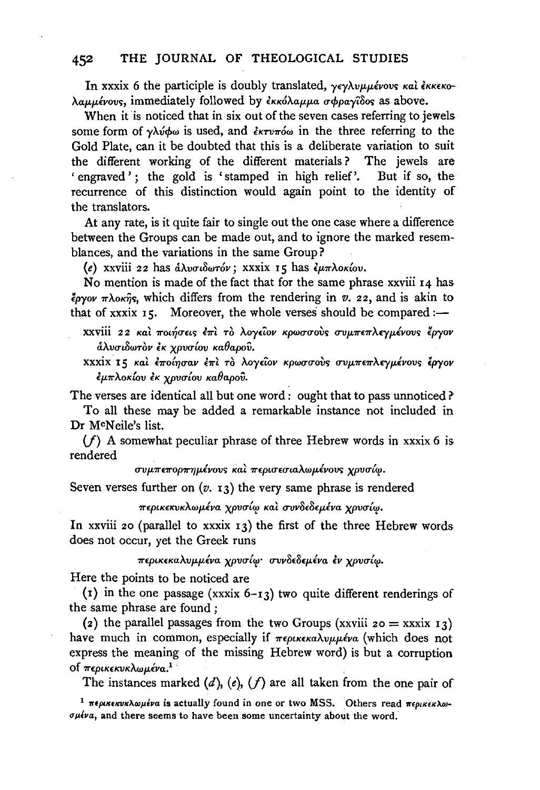In xxxix 6 the participle is doubly translated, γεγλυμμένους και έκκεκολαμμένους, immediately followed by εκκόλαμμα σφραγίδος as above.

When it is noticed that in six out of the seven cases referring to jewels some form of γλύφω is used, and *εκτυπό*ω in the three referring to the Gold Plate, can it be doubted that this is a deliberate variation to suit the different working of the different materials? The jewels are 'engraved'; the gold is 'stamped in high relief'. But if so, the recurrence of this distinction would again point to the identity of the translators.

At any rate, is it quite fair to single out the one case where a difference between the Groups can be made out, and to ignore the marked resemblances, and the variations in the same Group?

(e) xxviii 22 has *&A.vcn8wT6v;* xxxix 15 has *lp.7rAoKlov.* 

No mention is made of the fact that for the same phrase xxviii 14 has  $\frac{2}{3}$ *pyov*  $\pi \lambda$ ok $\hat{\eta}$ s, which differs from the rendering in *v.* 22, and is akin to that of xxxix  $15$ . Moreover, the whole verses should be compared:—

- xxviii 22 και ποιήσεις έπι το λογείον κρωσσούς συμπεπλεγμένους έργον *&A.vui8wTov lK XPvcrlov Ka9apov.*
- xxxix. I 5 *Kat l7rO{YJcrav* l7rt To *A.oy£'iov KpwucroV> uvp.7r£7rA£Yp.lvov> lpyov lp.7rAoK{ov lK XPvu{ov Ka9apov.*

The verses are identical all but one word : ought that to pass unnoticed ?

To all these may be added a remarkable instance not included in Dr McNeile's list.

 $(f)$  A somewhat peculiar phrase of three Hebrew words in xxxix 6 is rendered

 $\sigma$ *υμπεπορπημένους και περισεσιαλωμένους χρυσίω.* 

Seven verses further on  $(v, 13)$  the very same phrase is rendered

*7r£ptK£KVKAwp.tva xpvu{"i! Kat uvv8£8£p.lva XPVCT{";!.* 

In xxviii 20 (parallel to xxxix  $13$ ) the first of the three Hebrew words does not occur, yet the Greek runs

*7r£ptK£KaAvp.p.tva XPvu{'I!· crvv8£8£p.tva lv XPvu{'I!·* 

Here the points to be noticed are

(1) in the one passage (xxxix  $6-13$ ) two quite different renderings of the same phrase are found ;

(2) the parallel passages from the two Groups (xxviii  $20 =$  xxxix 13) have much in common, especially if περικεκαλυμμένα (which does not express the meaning of the missing Hebrew word) is but a corruption of *περικεκνκλωμένα.*<sup>1</sup>

The instances marked  $(d)$ ,  $(e)$ ,  $(f)$  are all taken from the one pair of

<sup>1</sup>  $\pi$ ерικεκυκλωμένα is actually found in one or two MSS. Others read  $\pi$ ερικεκλω- $\sigma\mu\ell\nu a$ , and there seems to have been some uncertainty about the word.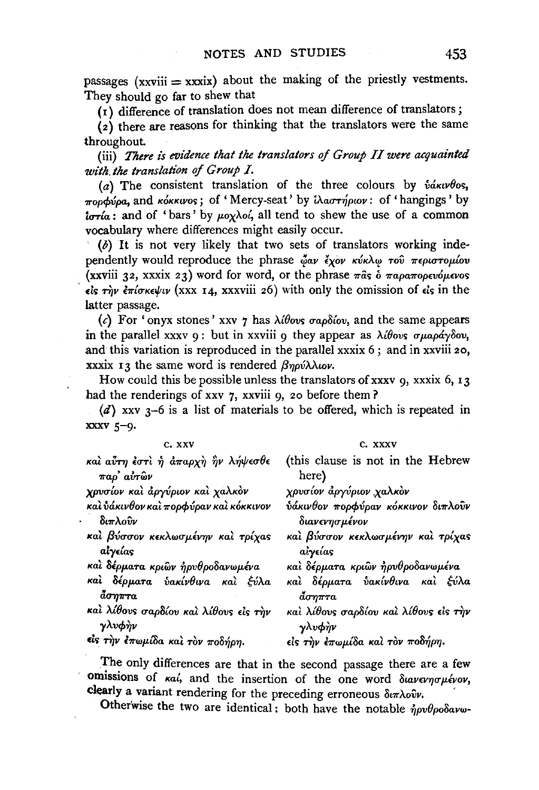passages  $(xxviii = xxxix)$  about the making of the priestly vestments. They should go far to shew that

 $(i)$  difference of translation does not mean difference of translators;

 $\overrightarrow{2}$  there are reasons for thinking that the translators were the same throughout.

(iii) There is evidence that the translators of Group II were acquainted *with the translation of Group I.* 

(a) The consistent translation of the three colours by  $\delta \alpha \kappa \nu \theta$ os,  $\pi$ oppvpa, and KoKKIVOS; of 'Mercy-seat' by i $\lambda$ ao $\tau\eta$ piov: of 'hangings' by  $i\sigma\tau\alpha$ : and of 'bars' by  $\mu$ ox $\lambda$ o<sub>i</sub>, all tend to shew the use of a common vocabulary where differences might easily occur.

(b) It is not very likely that two sets of translators working inde· pendently would reproduce the phrase  $\phi_{\alpha\nu}$   $\partial_{\alpha\nu}$   $\partial_{\alpha\nu}$   $\partial_{\alpha\nu}$   $\partial_{\alpha\beta}$   $\pi \epsilon \rho \omega \tau \sigma \rho \omega \omega$ (xxviii 32, xxxix 23) word for word, or the phrase  $\pi$  as  $\dot{\delta}$   $\pi$ apa $\pi$ opevó $\mu$ evos  $\epsilon$ is  $\tau \gamma \nu$  επίσκεψιν (xxx 14, xxxviii 26) with only the omission of  $\epsilon$ is in the latter passage.

(c) For 'onyx stones' xxv 7 has  $\lambda$ ibovs  $\sigma a \rho \delta i \omega$ , and the same appears in the parallel xxxv 9: but in xxviii 9 they appear as  $\lambda i \theta$ ovs  $\sigma \mu$ apáyoov, and this variation is reproduced in the parallel xxxix 6 ; and in xxviii 20, xxxix 13 the same word is rendered  $\beta\eta\rho\acute{\nu}\lambda\lambda\iota\omicron\nu$ .

How could this be possible unless the translators of xxxv 9, xxxix 6, 13 had the renderings of xxv 7, xxviii 9, 20 before them?

( $d$ ) xxv 3-6 is a list of materials to be offered, which is repeated in :xxxv 5-9.

| C. XXV                                     | C. XXXV                               |
|--------------------------------------------|---------------------------------------|
| και αύτη έστι ή άπαρχη ήν λήψεσθε          | (this clause is not in the Hebrew     |
| παρ' αύτων                                 | here)                                 |
| χρυσίον και άργύριον και χαλκον            | χρυσίον άργύριον χαλκὸν               |
| καὶ ὑάκινθον καὶ πορφύραν καὶ κόκκινον     | ύάκινθον πορφύραν κόκκινον διπλούν    |
| $\delta \iota \pi \lambda o \hat{\nu} \nu$ | διανενησμένον                         |
| καί βύσσον κεκλωσμένην και τρίχας          | καὶ βύσσον κεκλωσμένην καὶ τρίχας     |
| αίγείας                                    | αἰγείας                               |
| καὶ δέρματα κριῶν ἠρυθροδανωμένα           | καὶ δέρματα κριῶν ἦρυθροδανωμένα      |
| καὶ δέρματα ὑακίνθινα καὶ ξύλα             | καὶ δέρματα ὑακίνθινα καὶ ξύλα        |
| $\tilde{a}\sigma\eta\pi\tau a$             | άσηπτα                                |
| και λίθους σαρδίου και λίθους είς την      | και λίθους σαρδίου και λίθους είς την |
| γλυφήν                                     | γλυφήν                                |
| είς την επωμίδα και τον ποδήρη.            | είς την έπωμίδα και τον ποδήρη.       |

The only differences are that in the second passage there are a few omissions of  $\kappa a'$ , and the insertion of the one word  $\delta u \nu \epsilon \gamma \sigma \mu \epsilon' \nu \sigma$ , clearly a variant rendering for the preceding erroneous  $\delta u \pi \lambda o \hat{v} \nu$ .

Otherwise the two are identical: both have the notable  $\dot{\eta} \rho \nu \theta \rho \sigma \delta \alpha \nu \omega$ -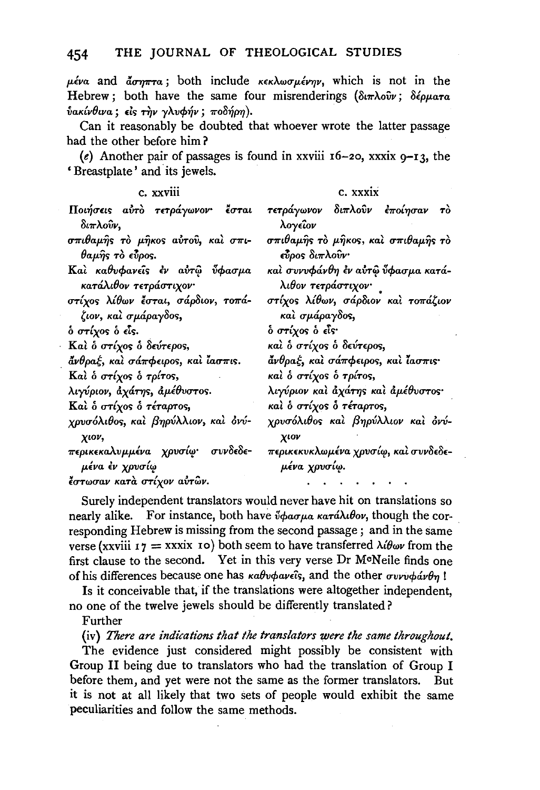$\mu$ *éva* and  $\vec{a}$ *crra*; both include *KEKAwo* $\mu$ *évny*, which is not in the Hebrew; both have the same four misrenderings (διπλούν; δέρματα  $ν$ ακίνθινα; είς την γλυφήν; ποδήρη).

Can it reasonably be doubted that whoever wrote the latter passage had the other before him ?

(e) Another pair of passages is found in xxviii  $16-20$ , xxxix  $9-13$ , the 'Breastplate' and its jewels.

| c. xxviii                                                  | C. XXXIX                                                 |
|------------------------------------------------------------|----------------------------------------------------------|
| Ποιήσεις αύτο τετράγωνον· έσται<br>διπλοῦν,                | τετράγωνον διπλούν έποίησαν το<br>λογείον                |
| σπιθαμής το μήκος αύτου, και σπι-<br>θαμής τὸ εύρος.       | σπιθαμής το μήκος, και σπιθαμής το<br>τὖρος διπλοὖν      |
| Καὶ καθυφανεῖς ἐν αὐτῷ ὖφασμα<br>κατάλιθον τετράστιχον·    | καὶ συνυφάνθη ἐν αὐτῷ ὖφασμα κατά-<br>λιθον τετράστιχον· |
| στίχος λίθων έσται, σάρδιον, τοπά-<br>ζιον, καὶ σμάραγδος, | στίχος λίθων, σάρδιον και τοπάζιον<br>καὶ σμάραγδος,     |
| ό στίχος ὁ εἶς.                                            | <b>δ στίχος δ εἶς·</b>                                   |
| Καί δ στίχος δ δεύτερος,                                   | καὶ ὁ στίχος ὁ δεύτερος,                                 |
| άνθραξ, καὶ σάπφειρος, καὶ ἶασπις.                         | άνθραξ, και σάπφειρος, και ίασπις·                       |
| Καὶ ὁ στίχος ὁ τρίτος,                                     | καὶ ὁ στίχος ὁ τρίτος,                                   |
| λιγύριον, άχάτης, άμέθυστος.                               | λιγύριον και άχάτης και αμέθυστος·                       |
| Καὶ ὁ στίχος ὁ τέταρτος,                                   | και ο στίχος ο τέταρτος,                                 |
| χρυσόλιθος, και βηρύλλιον, και όνύ-<br>χιον,               | χρυσόλιθος και βηρύλλιον και όνύ-<br>χιον                |
| περικεκαλυμμένα χρυσίφ· συνδεδε-<br>μένα ἐν χρυσίω         | περικεκυκλωμένα χρυσίφ, καὶ συνδεδε-<br>μένα χρυσίω.     |
| έστωσαν κατά στίχον αυτών.                                 |                                                          |

Surely independent translators would never have hit on translations so nearly alike. For instance, both have *ὖφασμα κατάλιθον*, though the corresponding Hebrew is missing from the second passage; and in the same verse (xxviii  $r_7 = x$ xxix 10) both seem to have transferred  $\lambda \ell \theta \omega \nu$  from the first clause to the second. Yet in this very verse Dr M<sup>o</sup>Neile finds one of his differences because one has  $\kappa a \theta \nu \phi a \nu \hat{i} s$ , and the other  $\sigma \nu \nu \psi \phi a \nu \theta \eta$ !

Is it conceivable that, if the translations were altogether independent, no one of the twelve jewels should be differently translated?

Further

(iv} *There are indications that the translators were the same throughout.* 

The evidence just considered might possibly be consistent with Group II being due to translators who had the translation of Group I before them, and yet were not the same as the former translators. But it is not at all likely that two sets of people would exhibit the same peculiarities and follow the same methods.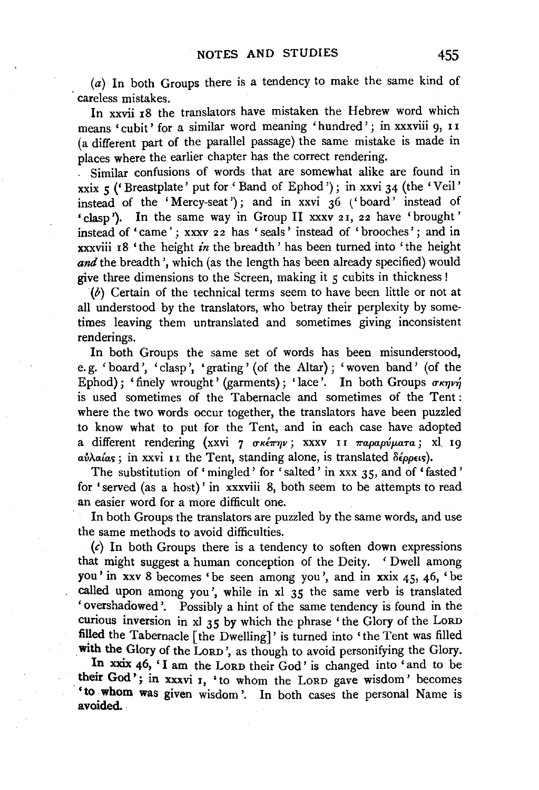(a) In both Groups there is a tendency to make the same kind of careless mistakes.

In xxvii 18 the translators have mistaken the Hebrew word which means 'cubit' for a similar Word meaning 'hundred' j in XXXViii 9, I I (a different part of the parallel passage) the same mistake is made in places where the earlier chapter has the correct rendering.

. Similar confusions of words that are somewhat alike are found in xxix 5 ('Breastplate' put for 'Band of Ephod'); in xxvi 34 (the 'Veil' instead of the 'Mercy-seat'); and in xxvi  $36$  ('board' instead of •clasp'). In the same way in Group II xxxv 21, 22 have 'brought' instead of 'came'; xxxv 22 has 'seals' instead of 'brooches'; and in xxxviii 18 'the height *in* the breadth' has been turned into 'the height and the breadth', which (as the length has been already specified) would give three dimensions to the Screen, making it  $\zeta$  cubits in thickness!

(b) Certain of the technical terms seem to have been little or not at all understood by the translators, who betray their perplexity by sometimes leaving them untranslated and sometimes giving inconsistent renderings.

In both Groups the same set of words has been misunderstood, e. g. 'board', 'clasp', 'grating' (of the Altar); 'woven band' (of the Ephod); 'finely wrought' (garments); 'lace'. In both Groups  $\sigma \kappa \eta \nu \eta'$ is used sometimes of the Tabernacle and sometimes of the Tent : where the two words occur together, the translators have been puzzled to know what to put for the Tent, and in each case have adopted a different rendering (xxvi 7 σκέπην; xxxv 11 παραρύματα; xl 19 a*υλαίαs*; in xxvi 11 the Tent, standing alone, is translated δέρρεις).

The substitution of 'mingled' for 'salted' in xxx 35, and of 'fasted' for 'served (as a host)' in xxxviii 8, both seem to be attempts to read an easier word for a more difficult one.

In both Groups the translators are puzzled by the same words, and use the same methods to avoid difficulties.

 $(c)$  In both Groups there is a tendency to soften down expressions that might suggest a human conception of the Deity. 'Dwell among you' in xxv 8 becomes 'be seen among you', and in xxix 45, 46, ' be called upon among you', while in xl 35 the same verb is translated 'overshadowed'. Possibly a hint of the same tendency is found in the curious inversion in xl 35 by which the phrase 'the Glory of the LoRD filled the Tabernacle [the Dwelling]' is turned into 'the Tent was filled with the Glory of the LORD', as though to avoid personifying the Glory.

In xxix 46, 'I am the LORD their God' is changed into 'and to be their God'; in xxxvi 1, 'to whom the LORD gave wisdom' becomes 'to whom was given wisdom'. In both cases the personal Name is avoided.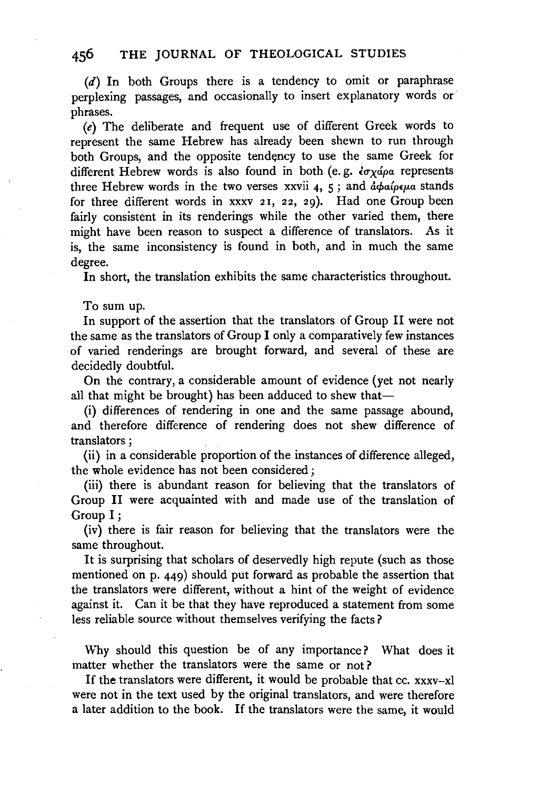(d) In both Groups there is a tendency to omit or paraphrase perplexing passages, and occasionally to insert explanatory words or phrases.

(e) The deliberate and frequent use of different Greek words to represent the same Hebrew has already been shewn to run through both Groups, and the opposite tendency to use the same Greek for different Hebrew words is also found in both (e.g.  $\epsilon \sigma \chi$  *do* a represents three Hebrew words in the two verses xxvii 4, 5; and  $d\phi a/\rho\epsilon\mu a$  stands for three different words in xxxv 21, 22, 29). Had one Group been fairly consistent in its renderings while the other varied them, there might have been reason to suspect a difference of translators. As it is, the same inconsistency is found in both, and in much the same degree.

In short, the translation exhibits the same characteristics throughout.

To sum up.

In support of the assertion that the translators of Group II were not the same as the translators of Group I only a comparatively few instances of varied renderings are brought forward, and several of these are decidedly doubtful.

On the contrary, a considerable amount of evidence (yet not nearly all that might be brought) has been adduced to shew that-

(i) differences of rendering in one and the same passage abound, and therefore difference of rendering does not shew difference of translators ;

(ii) in a considerable proportion of the instances of difference alleged, the whole evidence has not been considered ;

(iii) there is abundant reason for believing that the translators of Group II were acquainted with and made use of the translation of Group I;

(iv) there is fair reason for believing that the translators were the same throughout.

It is surprising that scholars of deservedly high repute (such as those mentioned on p. 449) should put forward as probable the assertion that the translators were different, without a hint of the weight of evidence against it. Can it be that they have reproduced a statement from some less reliable source without themselves verifying the facts?

\Vhy should this question be of any importance? What does it matter whether the translators were the same or not?

If the translators were different, it would be probable that cc. xxxv-xl were not in the text used by the original translators, and were therefore a later addition to the book. If the translators were the same, it would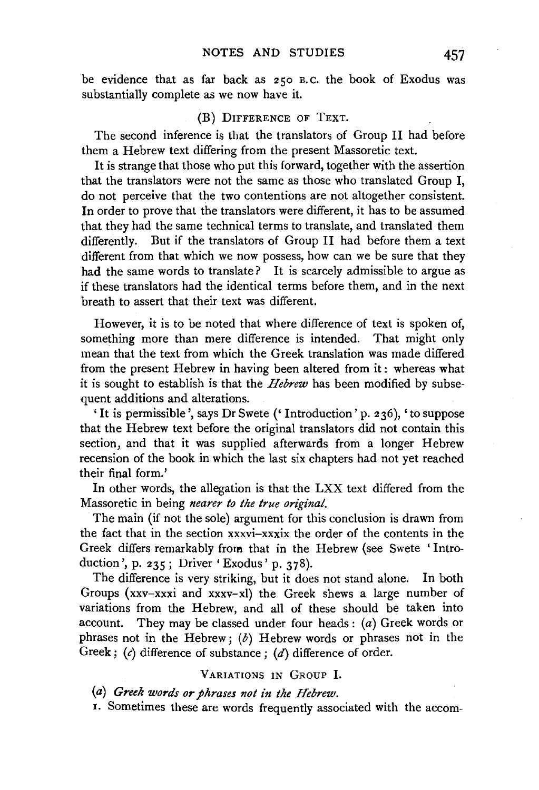be evidence that as far back as 250 B.c. the book of Exodus was substantially complete as we now have it.

#### (B) DIFFERENCE OF TEXT.

The second inference is that the translators of Group II had before them a Hebrew text differing from the present Massoretic text.

It is strange that those who put this forward, together with the assertion that the translators were not the same as those who translated Group I, do not perceive that the two contentions are not altogether consistent. In order to prove that the translators were different, it has to be assumed that they had the same technical terms to translate, and translated them differently. But if the translators of Group II had before them a text different from that which we now possess, how can we be sure that they had the same words to translate? It is scarcely admissible to argue as if these translators had the identical terms before them, and in the next breath to assert that their text was different.

However, it is to be noted that where difference of text is spoken of, something more than mere difference is intended. That might only mean that the text from which the Greek translation was made differed from the present Hebrew in having been altered from it: whereas what it is sought to establish is that the *Hebrew* has been modified by subsequent additions and alterations.

'It is permissible', says Dr Swete (' Introduction' p. 2 36), 'to suppose that the Hebrew text before the original translators did not contain this section, and that it was supplied afterwards from a longer Hebrew recension of the book in which the last six chapters had not yet reached their final form.'

In other words, the allegation is that the LXX text differed from the Massoretic in being *nearer to the true original.* 

The main (if not the sole) argument for this conclusion is drawn from the fact that in the section xxxvi-xxxix the order of the contents in the Greek differs remarkably from that in the Hebrew (see Swete 'Introduction', p. 235; Driver 'Exodus' p. 378).

The difference is very striking, but it does not stand alone. In both Groups (xxv-xxxi and xxxv-xl) the Greek shews a large number of variations from the Hebrew, and all of these should be taken into account. They may be classed under four heads:  $(a)$  Greek words or phrases not in the Hebrew;  $(b)$  Hebrew words or phrases not in the Greek;  $(c)$  difference of substance;  $(d)$  difference of order.

#### VARIATIONS IN GROUP I.

(a) *Greek words or phrases not in tke Hebrew.* 

I. Sometimes these are words frequently associated with the accom-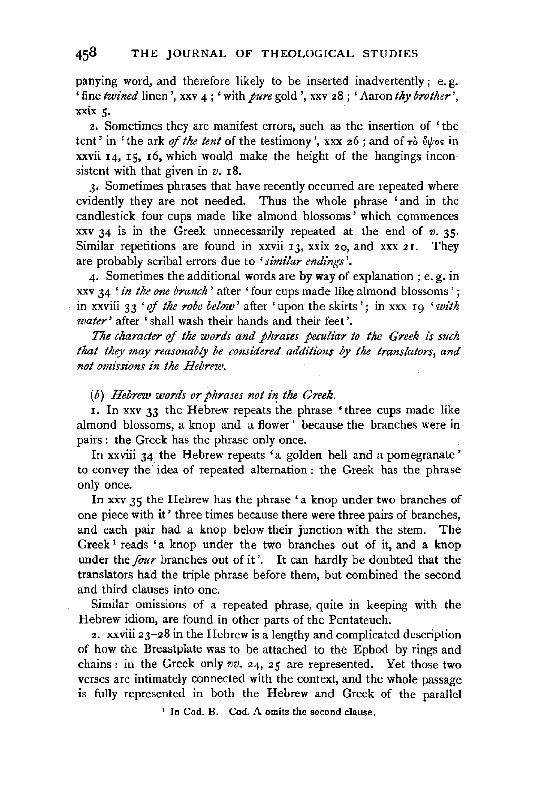panying word, and therefore likely to be inserted inadvertently; e. g. 'fine *twined* linen', xxv 4; 'with *pure* gold ', xxv 28 ; 'Aaron *thy brother',*  xxix 5.

2. Sometimes they are manifest errors, such as the insertion of 'the tent' in 'the ark of the tent of the testimony', xxx 26; and of  $\tau$ ò  $\tilde{\psi}$ /vos in  $xxvii$   $14$ ,  $15$ ,  $16$ , which would make the height of the hangings inconsistent with that given in *v.* 18.

3. Sometimes phrases that have recently occurred are repeated where evidently they are not needed. Thus the whole phrase 'and in the candlestick four cups made like almond blossoms' which commences xxv 34 is in the Greek unnecessarily repeated at the end of *v.* 35. Similar repetitions are found in xxvii 13, xxix 20, and xxx 21. They are probably scribal errors due to *'similar endings'.* 

4. Sometimes the additional words are by way of explanation ; e. g. in xxv 34 ' *in the one branch'* after ' four cups made like almond blossoms ' ; in xxviii 33 ' of the robe below' after 'upon the skirts'; in xxx 19 'with *water* ' after ' shall wash their hands and their feet '.

*The character* of *the words and phrases peculiar to the Greek is such that they may reasonably be considered additions by the translators, and not omissions in the Hebrew.* 

#### (b) *Hebrew words or phrases not in the Greek.*

I. In xxv 33 the Hebrew repeats the phrase 'three cups made like almond blossoms, a knop and a flower ' because the branches were in pairs : the Greek has the phrase only once.

In xxviii 34 the Hebrew repeats 'a golden bell and a pomegranate ' to convey the idea of repeated alternation : the Greek has the phrase only once.

In xxv 35 the Hebrew has the phrase 'a knop under two branches of one piece with it ' three times because there were three pairs of branches, and each pair had a knop below their junction with the stem. The Greek<sup>1</sup> reads 'a knop under the two branches out of it, and a knop under the *four* branches out of it'. It can hardly be doubted that the translators had the triple phrase before them, but combined the second and third clauses into one.

Similar omissions of a repeated phrase, quite in keeping with the Hebrew idiom, are found in other parts of the Pentateuch.

2. xxviii  $23-28$  in the Hebrew is a lengthy and complicated description of how the Breastplate was to be attached to the Ephod by rings and chains: in the Greek only *vv.* 24, 25 are represented. Yet those two verses are intimately connected with the context, and the whole passage is fully represented in both the Hebrew and Greek of the parallel

1 In Cod. B. Cod. A omits the second clause.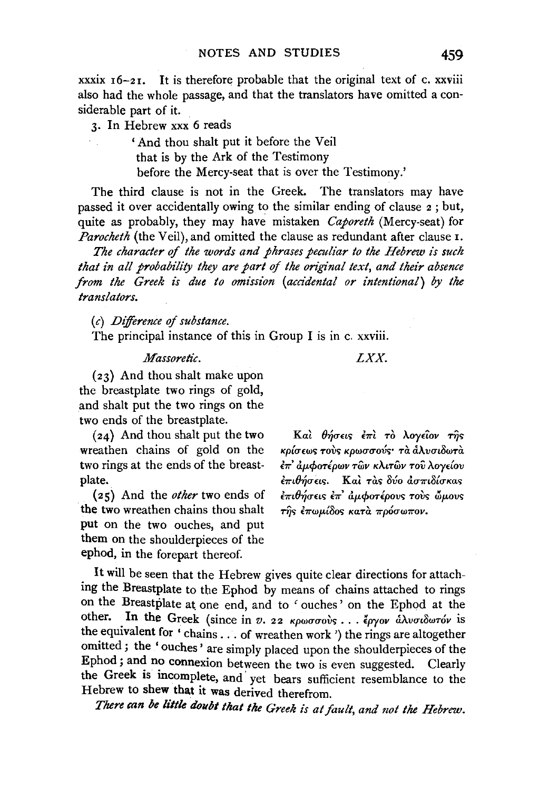xxxix  $16-21$ . It is therefore probable that the original text of c. xxviii also had the whole passage, and that the translators have omitted a considerable part of it.

3. In Hebrew xxx 6 reads

' And thou shalt put it before the Veil that is by the Ark of the Testimony before the Mercy-seat that is over the Testimony.'

The third clause is not in the Greek. The translators may have passed it over accidentally owing to the similar ending of clause 2 ; but, quite as probably, they may have mistaken *Caporeth* (Mercy-seat) for *Parocheth* (the Veil), and omitted the clause as redundant after clause 1.

The character of the words and phrases peculiar to the Hebrew is such that in all probability they are part of the original text, and their absence *from the Greek is due to omission (accidental or intentional) by the translators.* 

(c) *Deference of substance.* 

The principal instance of this in Group I is in c. xxviii.

#### *Massoretic.*

*LXX.* 

(23) And thou shalt make upon the breastplate two rings of gold, and shalt put the two rings on the two ends of the breastplate.

(24) And thou shalt put the two wreathen chains of gold on the two rings at the ends of the breastplate.

( 2 5) And the *other* two ends of the two wreathen chains thou shalt put on the two ouches, and put them on the shoulderpieces of the ephod, in the forepart thereof.

Kal θήσεις έπι το λογείον της κρίσεως τους κρωσσούς· τα αλυσιδωτα επ' αμφοτέρων τῶν κλιτῶν τοῦ λογείου  $\epsilon \pi \iota \theta$ ήσεις. Και τας δύο ασπιδίσκας επιθήσεις επ' αμφοτέρους τους ώμους  $\tau$ ής έπωμίδος κατα πρόσωπον.

It will be seen that the Hebrew gives quite clear directions for attaching the Breastplate to the Ephod by means of chains attached to rings on the Breastplate at one end, and to ' ouches' on the Ephod at the other. In the Greek (since in  $v$ . 22  $\kappa \rho \omega \sigma \sigma \omega$ 's . . .  $\epsilon \rho \gamma \omega \nu$  and  $\omega \tau \omega \nu$  is the equivalent for ' chains ... of wreathen work ') the rings are altogether omitted ; the ' ouches' are simply placed upon the shoulderpieces of the Ephod; and no connexion between the two is even suggested. Clearly the Greek is incomplete, and· yet bears sufficient resemblance to the Hebrew to shew that it was derived therefrom.

*There can be little doubt that the Greek £s at fault, and not the Hebrew.*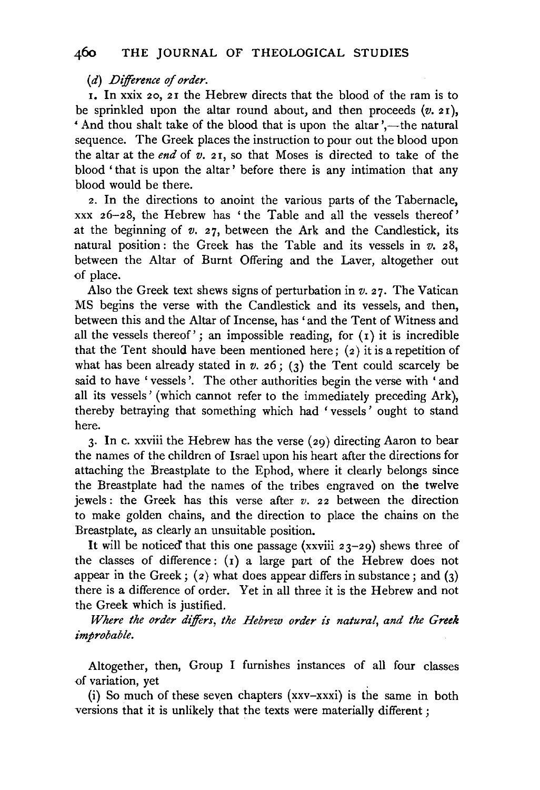### (d) *Difference of order.*

r. In xxix 20, 2r the Hebrew directs that the blood of the ram is to be sprinkled upon the altar round about, and then proceeds  $(v. 21)$ , And thou shalt take of the blood that is upon the altar',—the natural sequence. The Greek places the instruction to pour out the blood upon the altar at the *end* of *v.* 21, so that Moses is directed to take of the blood ' that is upon the altar ' before there is any intimation that any blood would be there.

2. In the directions to anoint the various parts of the Tabernacle, xxx 26-28, the Hebrew has 'the Table and all the vessels thereof' at the beginning of  $v$ .  $27$ , between the Ark and the Candlestick, its natural position : the Greek has the Table and its vessels in *v.* 28, between the Altar of Burnt Offering and the Laver, altogether out of place.

Also the Greek text shews signs of perturbation in  $v$ . 27. The Vatican MS begins the verse with the Candlestick and its vessels, and then, between this and the Altar of Incense, has 'and the Tent of Witness and all the vessels thereof'; an impossible reading, for  $(1)$  it is incredible that the Tent should have been mentioned here;  $(z)$  it is a repetition of what has been already stated in  $v$ .  $26$ ; (3) the Tent could scarcely be said to have ' vessels'. The other authorities begin the verse with 'and all its vessels' (which cannot refer to the immediately preceding Ark), thereby betraying that something which had 'vessels' ought to stand here.

3. In c. xxviii the Hebrew has the verse (29) directing Aaron to bear the names of the children of Israel upon his heart after the directions for attaching the Breastplate to the Ephod, where it clearly belongs since the Breastplate had the names of the tribes engraved on the twelve jewels: the Greek has this verse after *v.* 22 between the direction to make golden chains, and the direction to place the chains on the Breastplate, as clearly an unsuitable position.

It will be noticed that this one passage (xxviii  $23-29$ ) shews three of the classes of difference: (1) a large part of the Hebrew does not appear in the Greek;  $(2)$  what does appear differs in substance; and  $(3)$ there is a difference of order. Yet in all three it is the Hebrew and not the Greek which is justified.

*Where the order differs, the Hebrew order is natural, and the Greek improbable.* 

Altogether, then, Group I furnishes instances of all four classes of variation, yet

(i) So much of these seven chapters (xxv-xxxi) is the same in both versions that it is unlikely that the texts were materially different ;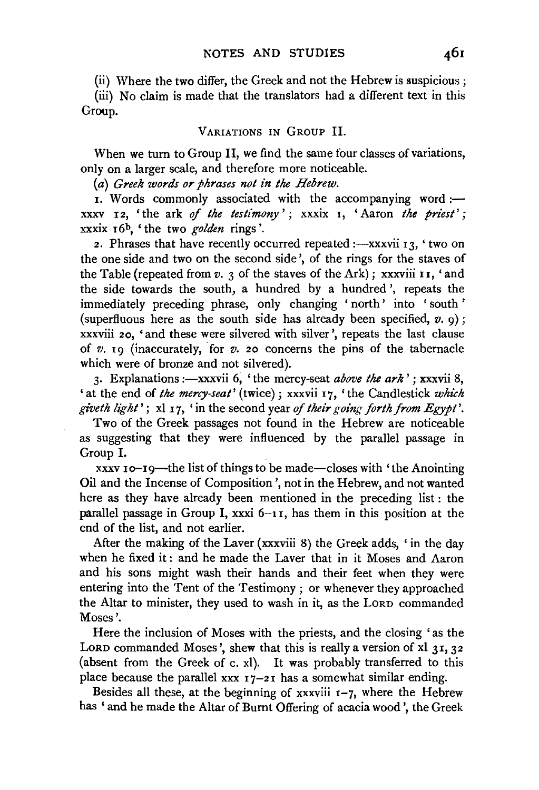(ii) Where the two differ, the Greek and not the Hebrew is suspicious ;

(iii) No claim is made that the translators had a different text in this Group.

#### VARIATIONS IN GROUP II.

When we tum to Group II, we find the same four classes of variations, only on a larger scale, and therefore more noticeable.

(a) *Greek words or phrases not in the Hebrew.* 

 $\overline{1}$ . Words commonly associated with the accompanying word: $\overline{-}$ xxxv 12, 'the ark *of the testimony';* xxxix 1, 'Aaron *the priest';*  xxxix 16b, 'the two *golden* rings'.

2. Phrases that have recently occurred repeated :- xxxvii  $13$ , 'two on the one side and two on the second side', of the rings for the staves of the Table (repeated from  $v. 3$  of the staves of the Ark); xxxviii 11, 'and the side towards the south, a hundred by a hundred ', repeats the immediately preceding phrase, only changing 'north' into 'south' (superfluous here as the south side has already been specified, *v.* 9); xxxviii 20, 'and these were silvered with silver', repeats the last clause of *v.* 19 (inaccurately, for *v.* 20 concerns the pins of the tabernacle which were of bronze and not silvered).

3. Explanations :--xxxvii 6, 'the mercy-seat *above the ark'*; xxxvii 8, 'at the end of *the mercy-seat'* (twice); xxxvii 17, 'the Candlestick *which gi"veth light';* xl 17, 'in the second year *of their going forth from Egypt'.* 

Two of the Greek passages not found in the Hebrew are noticeable as suggesting that they were influenced by the parallel passage in Group I.

xxxv 10-19-the list of things to be made-closes with 'the Anointing Oil and the Incense of Composition ', not in the Hebrew, and not wanted here as they have already been mentioned in the preceding list : the parallel passage in Group I, xxxi 6-11, has them in this position at the end of the list, and not earlier.

After the making of the Laver (xxxviii 8) the Greek adds, 'in the day when he fixed it : and he made the Laver that in it Moses and Aaron and his sons might wash their hands and their feet when they were entering into the Tent of the Testimony ; or whenever they approached the Altar to minister, they used to wash in it, as the LORD commanded Moses'.

Here the inclusion of Moses with the priests, and the closing 'as the LORD commanded Moses', shew that this is really a version of xl 31, 32 (absent from the Greek of c. xl). It was probably transferred to this place because the parallel xxx  $17-21$  has a somewhat similar ending.

Besides all these, at the beginning of xxxviii  $1-7$ , where the Hebrew has ' and he made the Altar of Burnt Offering of acacia wood ', the Greek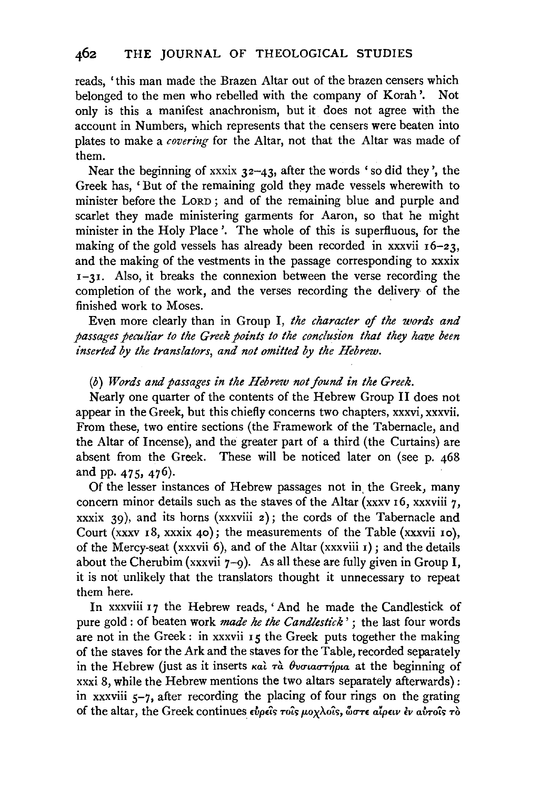reads, 'this man made the Brazen Altar out of the brazen censers which belonged to the men who rebelled with the company of Korah '. Not only is this a manifest anachronism, but it does not agree with the account in Numbers, which represents that the censers were beaten into plates to make a *covering* for the Altar, not that the Altar was made of them.

Near the beginning of xxxix  $32-43$ , after the words 'so did they', the Greek has, 'But of the remaining gold they made vessels wherewith to minister before the LORD ; and of the remaining blue and purple and scarlet they made ministering garments for Aaron, so that he might minister in the Holy Place '. The whole of this is superfluous, for the making of the gold vessels has already been recorded in xxxvii  $16-23$ , and the making of the vestments in the passage corresponding to xxxix  $1-31$ . Also, it breaks the connexion between the verse recording the completion of the work, and the verses recording the delivery of the finished work to Moses.

Even more clearly than in Group I, *the character of the words and passages peculiar to the Greek points to the conclusion that they have been inserted by the translators, and not omitted by the Hebrew.* 

#### (b) *Words and passages in the Hebrew not found in the Greek.*

Nearly one quarter of the contents of the Hebrew Group II does not appear in the Greek, but this chiefly concerns two chapters, xxxvi, xxxvii. From these, two entire sections (the Framework of the Tabernacle, and the Altar of Incense), and the greater part of a third (the Curtains) are absent from the Greek. These will be noticed later on (see p. 468 and pp. 475, 476).

Of the lesser instances of Hebrew passages not in, the Greek, many concern minor details such as the staves of the Altar (xxxv 16, xxxviii  $7$ , xxxix 39), and its horns (xxxviii  $2$ ); the cords of the Tabernacle and Court (xxxv 18, xxxix 40); the measurements of the Table (xxxvii ro), of the Mercy-seat (xxxvii 6), and of the Altar (xxxviii  $r$ ); and the details about the Cherubim (xxxvii  $7-9$ ). As all these are fully given in Group I, it is not unlikely that the translators thought it unnecessary to repeat them here.

In xxxviii 17 the Hebrew reads, 'And he made the Candlestick of pure gold : of beaten work *made he the Candlestick'* ; the last four words are not in the Greek: in xxxvii 15 the Greek puts together the making of the staves for the Ark and the staves for the Table, recorded separately in the Hebrew (just as it inserts  $\kappa a$ )  $\tau a$   $\theta$ voriao $\tau \gamma \rho \mu a$  at the beginning of xxxi 8, while the Hebrew mentions the two altars separately afterwards): in xxxviii  $5-7$ , after recording the placing of four rings on the grating of the altar, the Greek continues εύρεις τοις μοχλοίς, ώστε αίρειν έν αύτοις τὸ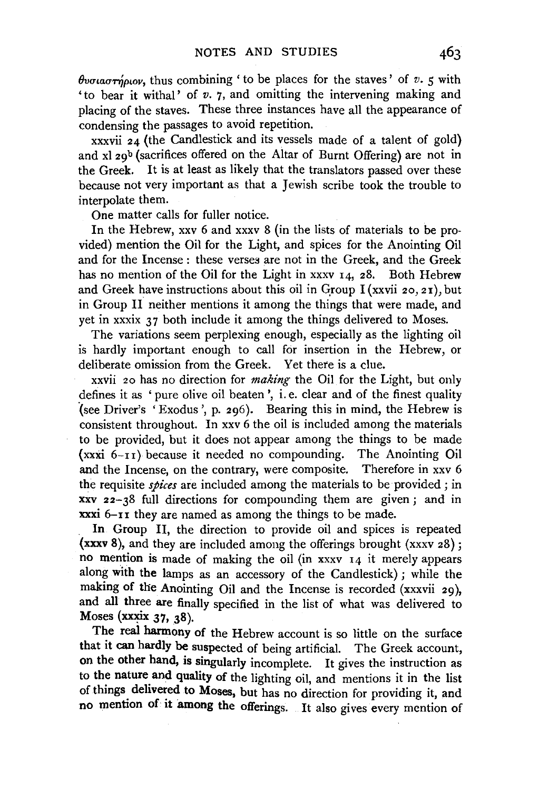$\theta$ v*ou* $\alpha \tau \eta$ *pwov,* thus combining ' to be places for the staves' of *v.* 5 with 'to bear it withal' of *v.* 7, and omitting the intervening making and placing of the staves. These three instances have all the appearance of condensing the passages to avoid repetition.

xxxvii 24 (the Candlestick and its vessels made of a talent of gold) and  $x$ l  $29<sup>b</sup>$  (sacrifices offered on the Altar of Burnt Offering) are not in the Greek. It is at least as likely that the translators passed over these because not very important as that a Jewish scribe took the trouble to interpolate them.

One matter calls for fuller notice.

In the Hebrew, xxv 6 and xxxv 8 (in the lists of materials to be provided) mention the Oil for the Light, and spices for the Anointing Oil and for the Incense : these verses are not in the Greek, and the Greek has no mention of the Oil for the Light in xxxv 14, 28. Both Hebrew and Greek have instructions about this oil in Group I (xxvii 20, 21), but in Group II neither mentions it among the things that were made, and yet in xxxix 37 both include it among the things delivered to Moses.

The variations seem perplexing enough, especially as the lighting oil is hardly important enough to call for insertion in the Hebrew, or deliberate omission from the Greek. Yet there is a clue.

xxvii 20 has no direction for *making* the Oil for the Light, but only defines it as ' pure olive oil beaten', i. e. clear and of the finest quality ·(see Driver's 'Exodus', p. 296). Bearing this in mind, the Hebrew is consistent throughout. In xxv 6 the oil is included among the materials to be provided, but it does not appear among the things to be made  $(xxxi \ 6-r1)$  because it needed no compounding. The Anointing Oil and the Incense, on the contrary, were composite. Therefore in xxv 6 the requisite *spices* are included among the materials to be provided ; in xxv 22-38 full directions for compounding them are given; and in xxxi 6-11 they are named as among the things to be made.

In Group II, the direction to provide oil and spices is repeated (xxxv 8), and they are included among the offerings brought (xxxv 28); no mention is made of making the oil (in xxxv 14 it merely appears along with the lamps as an accessory of the Candlestick) ; while the making of the Anointing Oil and the Incense is recorded (xxxvii 29), and all three are finally specified in the list of what was delivered to Moses (xxxix  $37, 38$ ).

The real harmony of the Hebrew account is so little on the surface that it can hardly be suspected of being artificial. The Greek account, on the other hand, is singularly incomplete. It gives the instruction as to the nature and quality of the lighting oil, and mentions it in the list of things delivered to Moses, but has no direction for providing it, and no mention of it among the offerings. It also gives every mention of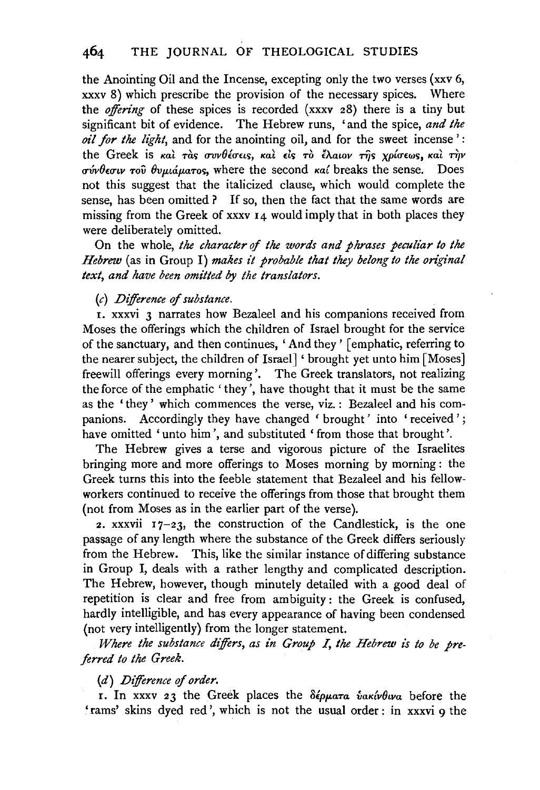the Anointing Oil and the Incense, excepting only the two verses (xxv 6, xxxv 8) which prescribe the provision of the necessary spices. Where the *offering* of these spices is recorded (xxxv 28) there is a tiny but significant bit of evidence. The Hebrew runs, 'and the spice, *and the oil for the light,* and for the anointing oil, and for the sweet incense ' : the Greek is και τας συνθέσεις, και είς το έλαιον της χρίσεως, και την *crvvfhcriv -rov 8vµiaµa-ros,* where the second *Ka{* breaks the sense. Does not this suggest that the italicized clause, which would complete the sense, has been omitted? If so, then the fact that the same words are missing from the Greek of xxxv 14 would imply that in both places they were deliberately omitted.

On the whole, *the character* of *the words and phrases peculiar to the Hebrew* (as in Group I) *makes it probable that they belong to the original text, and have been omitted by the translators.* 

#### (c) *Difference* of *substance.*

1. xxxvi 3 narrates how Bezaleel and his companions received from Moses the offerings which the children of Israel brought for the service of the sanctuary, and then continues, ' And they ' [emphatic, referring to the nearer subject, the children of Israel] ' brought yet unto him [Moses) freewill offerings every morning'. The Greek translators, not realizing the force of the emphatic 'they', have thought that it must be the same as the 'they' which commences the verse, viz. : Bezaleel and his companions. Accordingly they have changed ' brought' into 'received'; have omitted 'unto him', and substituted 'from those that brought'.

The Hebrew gives a terse and vigorous picture of the Israelites bringing more and more offerings to Moses morning by morning : the Greek turns this into the feeble statement that Bezaleel and his fellowworkers continued to receive the offerings from those that brought them (not from Moses as in the earlier part of the verse).

2. xxxvii  $17-23$ , the construction of the Candlestick, is the one passage of any length where the substance of the Greek differs seriously from the Hebrew. This, like the similar instance of differing substance in Group I, deals with a rather lengthy and complicated description. The Hebrew, however, though minutely detailed with a good deal of repetition is clear and free from ambiguity : the Greek is confused, hardly intelligible, and has every appearance of having been condensed (not very intelligently) from the longer statement.

*Where the substance differs, as in Group* I, *the Hebrew is to be preferred to the Greek.* 

#### (d) *Difference* of *order.*

I. In xxxv 23 the Greek places the *8£pµa-ra vaK{v8iva* before the 'rams' skins dyed red', which is not the usual order: in xxxvi 9 the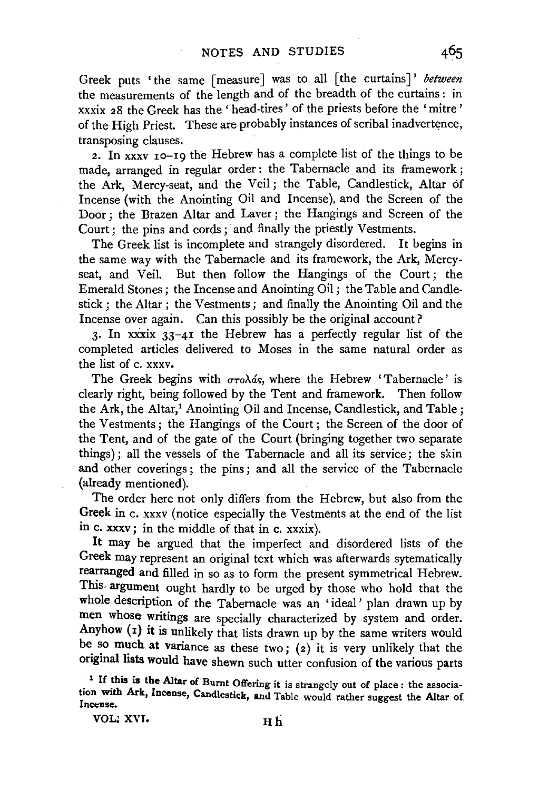Greek puts 'the same [measure] was to all [the curtains]' *between* the measurements of the length and of the breadth of the curtains : in xxxix 28 the Greek has the 'head-tires' of the priests before the 'mitre' of the High Priest. These are probably instances of scribal inadvertence, transposing clauses.

2. In  $\overline{x}$  is 10-19 the Hebrew has a complete list of the things to be made, arranged in regular order : the Tabernacle and its framework ; the Ark, Mercy-seat, and the Veil ; the Table, Candlestick, Altar of Incense (with the Anointing Oil and Incense), and the Screen of the Door; the Brazen Altar and Laver; the Hangings and Screen of the Court; the pins and cords; and finally the priestly Vestments.

The Greek list is incomplete and strangely disordered. It begins in the same way with the Tabernacle and its framework, the Ark, Mercyseat, and Veil. But then follow the Hangings of the Court; the Emerald Stones ; the Incense and Anointing  $\overrightarrow{O11}$ ; the Table and Candlestick ; the Altar; the Vestments ; and finally the Anointing Oil and the Incense over again. Can this possibly be the original account?

3. In xxxix  $33-41$  the Hebrew has a perfectly regular list of the completed articles delivered to Moses in the same natural order as the list of c. xxxv.

The Greek begins with  $\sigma$ *ro* $\lambda$ ás, where the Hebrew 'Tabernacle' is clearly right, being followed by the Tent and framework. Then follow the Ark, the Altar,<sup>1</sup> Anointing Oil and Incense, Candlestick, and Table; the Vestments ; the Hangings of the Court ; the Screen of the door of the Tent, and of the gate of the Court (bringing together two separate things); all the vessels of the Tabernacle and all its service; the skin and other coverings ; the pins ; and all the service of the Tabernacle (already mentioned).

The order here not only differs from the Hebrew, but also from the Greek in c. xxxv (notice especially the Vestments at the end of the list in c. xxxv; in the middle of that in c. xxxix).

It may be argued that the imperfect and disordered lists of the Greek may represent an original text which was afterwards sytematically rearranged and filled in so as to form the present symmetrical Hebrew. This argument ought hardly to be urged by those who hold that the whole description of the Tabernacle was an 'ideal' plan drawn up by men whose writings are specially characterized by system and order. Anyhow (1) it is unlikely that lists drawn up by the same writers would be so much at variance as these two; (2) it is very unlikely that the original lists would have shewn such utter confusion of the various parts

<sup>1</sup> If this is the Altar of Burnt Offering it is strangely out of place : the association with Ark, Incense, Candlestick, and Table would rather suggest the Altar of Incense.

VOL: XVI. Hh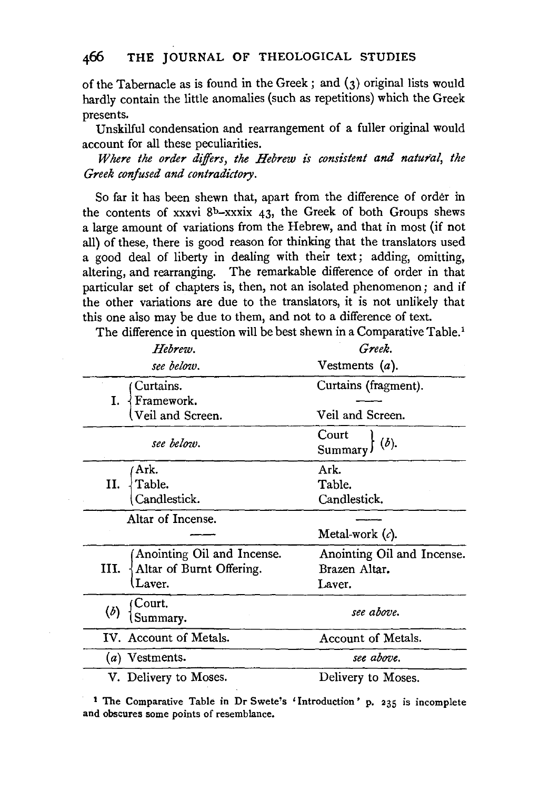of the Tabernacle as is found in the Greek ; and (3) original lists would hardly contain the little anomalies (such as repetitions) which the Greek presents.

Unskilful condensation and rearrangement of a fuller original would account for all these peculiarities.

*Where the order differs, the Hebrew is consistent and natural, the Greek confused and contradictory.* 

So far it has been shewn that, apart from the difference of order in the contents of xxxvi  $8<sup>b</sup>$ -xxxix 43, the Greek of both Groups shews a large amount of variations from the Hebrew, and that in most (if not all) of these, there is good reason for thinking that the translators used a good deal of liberty in dealing with their text ; adding, omitting, altering, and rearranging. The remarkable difference of order in that particular set of chapters is, then, not an isolated phenomenon; and if the other variations are due to the translators, it is not unlikely that this one also may be due to them, and not to a difference of text.

The difference in question will be best shewn in a Comparative Table.<sup>1</sup>

| Hebrew.                                     | Greek.                     |
|---------------------------------------------|----------------------------|
| see below.                                  | Vestments $(a)$ .          |
| Curtains.<br>Framework.<br>Veil and Screen. | Curtains (fragment).       |
|                                             | Veil and Screen.           |
| see below.                                  | Court<br>(b).<br>Summary)  |
| Ark.                                        | Ark.                       |
| Table.<br>11.                               | Table.                     |
| Candlestick.                                | Candlestick.               |
| Altar of Incense.                           |                            |
|                                             | Metal-work $(c)$ .         |
| Anointing Oil and Incense.                  | Anointing Oil and Incense. |
| III.<br>Altar of Burnt Offering.            | Brazen Altar.              |
| Laver.                                      | Laver.                     |
| Court.<br>Summary.                          | see above.                 |
| IV. Account of Metals.                      | Account of Metals.         |
| $(a)$ Vestments.                            | see above.                 |
| V. Delivery to Moses.                       | Delivery to Moses.         |

<sup>1</sup>The Comparative Table in Dr Swete's 'Introduction' p. 235 is incomplete and Comparative Table in Di Dwete.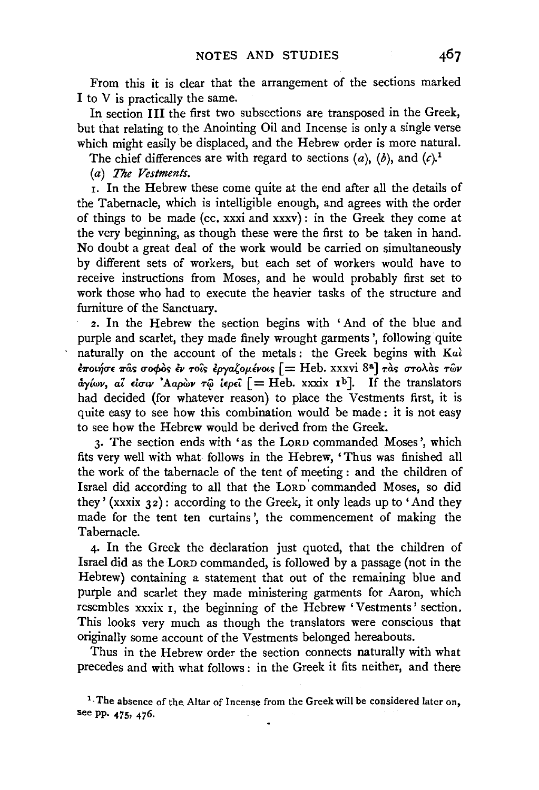From this it is clear that the arrangement of the sections marked I to V is practically the same.

In section III the first two subsections are transposed in the Greek, but that relating to the Anointing Oil and Incense is only a single verse which might easily be displaced, and the Hebrew order is more natural.

The chief differences are with regard to sections  $(a)$ ,  $(b)$ , and  $(c)$ .<sup>1</sup>

(a) *The Vestments.* 

r. In the Hebrew these come quite at the end after all the details of the Tabernacle, which is intelligible enough, and agrees with the order of things to be made (cc. xxxi and xxxv): in the Greek they come at the very beginning, as though these were the first to be taken in hand. No doubt a great deal of the work would be carried on simultaneously by different sets of workers, but each set of workers would have to receive instructions from Moses, and he would probably first set to work those who had to execute the heavier tasks of the structure and furniture of the Sanctuary.

2. In the Hebrew the section begins with 'And of the blue and purple and scarlet, they made finely wrought garments ', following quite naturally on the account of the metals: the Greek begins with Kaì  $\epsilon \pi$ οιήσε πας σοφος εν τοις εργαζομένοις [ = Heb. xxxvi 8<sup>a</sup>] τας στολας των &:y{wv, *aZ duiv 'Aap6w* T<() *t£p£i:* [ = Heb. xxxix rb]. If the translators had decided (for whatever reason) to place the Vestments first, it is quite easy to see how this combination would be made: it is not easy to see how the Hebrew would be derived from the Greek.

3. The section ends with 'as the LORD commanded Moses ', which fits very well with what follows in the Hebrew, 'Thus was finished all the work of the tabernacle of the tent of meeting : and the children of Israel did according to all that the LORD' commanded Moses, so did they'  $(xx x i x 32)$ : according to the Greek, it only leads up to 'And they made for the tent ten curtains ', the commencement of making the Tabernacle.

4. In the Greek the declaration just quoted, that the children of Israel did as the LORD commanded, is followed by a passage (not in the Hebrew) containing a statement that out of the remaining blue and purple and scarlet they made ministering garments for Aaron, which resembles xxxix 1, the beginning of the Hebrew 'Vestments' section. This looks very much as though the translators were conscious that originally some account of the Vestments belonged hereabouts.

Thus in the Hebrew order the section connects naturally with what precedes and with what follows : in the Greek it fits neither, and there

<sup>&</sup>lt;sup>1</sup>. The absence of the Altar of Incense from the Greek will be considered later on, see pp. 475, 476.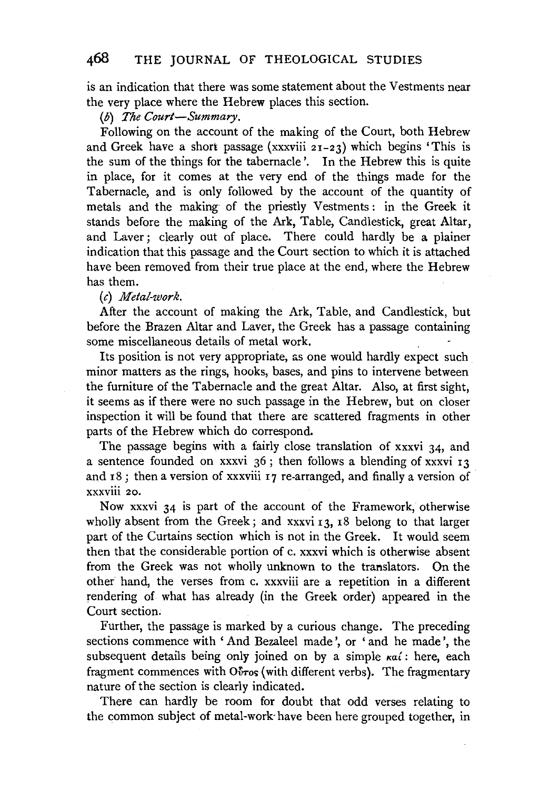is an indication that there was some statement about the Vestments near the very place where the Hebrew places this section.

(b) *The Court-Summary.* 

Following on the account of the making of the Court, both Hebrew and Greek have a short passage (xxxviii  $21-23$ ) which begins 'This is the sum of the things for the tabernacle'. In the Hebrew this is quite in place, for it comes at the very end of the things made for the Tabernacle, and is only followed by the account of the quantity of metals and the making of the priestly Vestments : in the Greek it stands before the making of the Ark, Table, Candlestick, great Altar, and Laver; clearly out of place. There could hardly be a plainer indication that this passage and the Court section to which it is attached have been removed from their true place at the end, where the Hebrew has them.

(c) *Metal-work.* 

After the account of making the Ark, Table, and Candlestick, but before the Brazen Altar and Laver, the Greek has a passage containing some miscellaneous details of metal work.

Its position is not very appropriate, as one would hardly expect such minor matters as the rings, hooks, bases, and pins to intervene between the furniture of the Tabernacle and the great Altar. Also, at first sight, it seems as if there were no such passage in the Hebrew, but on closer inspection it will be found that there are scattered fragments in other parts of the Hebrew which do correspond.

The passage begins with a fairly close translation of xxxvi 34, and a sentence founded on xxxvi  $36$ ; then follows a blending of xxxvi  $13$ and 18; then a version of xxxviii 17 re-arranged, and finally a version of xxxviii 20.

Now xxxvi 34 is part of the account of the Framework, otherwise wholly absent from the Greek; and xxxvi 13, 18 belong to that larger part of the Curtains section which is not in the Greek. It would seem then that the considerable portion of c. xxxvi which is otherwise absent from the Greek was not wholly unknown to the translators. On the other hand, the verses from c. xxxviii are a repetition in a different red hand, the verses from a anavin are a repetition in a different nucing or wi Further, the passage is marked by a curious change. The preceding

sections commence with ' And Bezaleel made ', or ' and he made', the subsequent details being only injuried on by a simple Kalendary and subsequent details being only joined on by a simple  $\kappa a i$ : here, each fragment commences with O $\delta r o s$  (with different verbs). The fragmentary nature of the section is clearly indicated.

There can hardly be room for doubt that odd verses relating to the common subject of metal-work have been here grouped together, in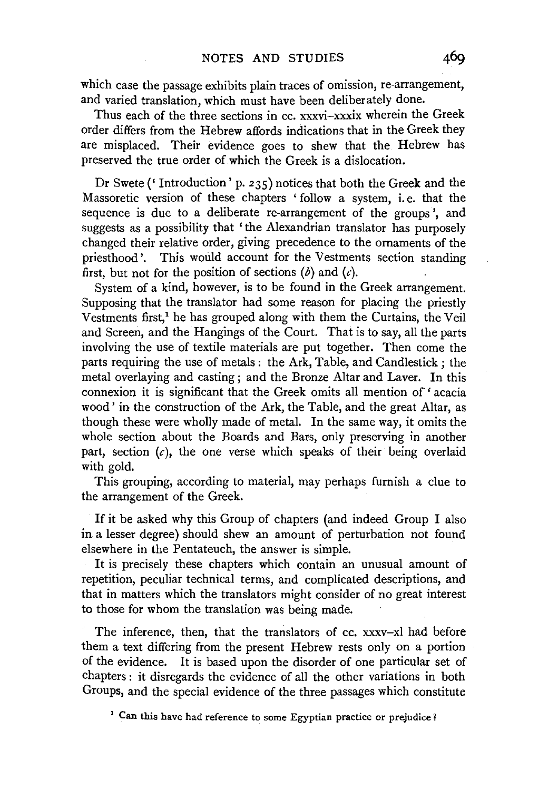which case the passage exhibits plain traces of omission, re-arrangement, and varied translation, which must have been deliberately done.

Thus each of the three sections in cc. xxxvi-xxxix wherein the Greek order differs from the Hebrew affords indications that in the Greek they are misplaced. Their evidence goes to shew that the Hebrew has preserved the true order of which the Greek is a dislocation.

Dr Swete ('Introduction' p. 235) notices that both the Greek and the Massoretic version of these chapters ' follow a system, i. e. that the sequence is due to a deliberate re-arrangement of the groups ', and suggests as a possibility that ' the Alexandrian translator has purposely changed their relative order, giving precedence to the ornaments of the priesthood'. This would account for the Vestments section standing first, but not for the position of sections  $(b)$  and  $(c)$ .

System of a kind, however, is to be found in the Greek arrangement. Supposing that the translator had some reason for placing the priestly Vestments first,<sup>1</sup> he has grouped along with them the Curtains, the Veil and Screen, and the Hangings of the Court. That is to say, all the parts involving the use of textile materials are put together. Then come the parts requiring the use of metals : the Ark, Table, and Candlestick ; the metal overlaying and casting; and the Bronze Altar and Laver. In this connexion it is significant that the Greek omits all mention of' acacia wood' in the construction of the Ark, the Table, and the great Altar, as though these were wholly made of metal. In the same way, it omits the whole section about the Boards and Bars, only preserving in another part, section  $(c)$ , the one verse which speaks of their being overlaid with gold.

This grouping, according to material, may perhaps furnish a clue to the arrangement of the Greek.

If it be asked why this Group of chapters (and indeed Group I also in a lesser degree) should shew an amount of perturbation not found elsewhere in the Pentateuch, the answer is simple.

It is precisely these chapters which contain an unusual amount of repetition, peculiar technical terms, and complicated descriptions, and that in matters which the translators might consider of no great interest to those for whom the translation was being made.

The inference, then, that the translators of cc. xxxv-xl had before them a text differing from the present Hebrew rests only on a portion of the evidence. It is based upon the disorder of one particular set of chapters : it disregards the evidence of all the other variations in both Groups, and the special evidence of the three passages which constitute

<sup>1</sup> Can this have had reference to some Egyptian practice or prejudice?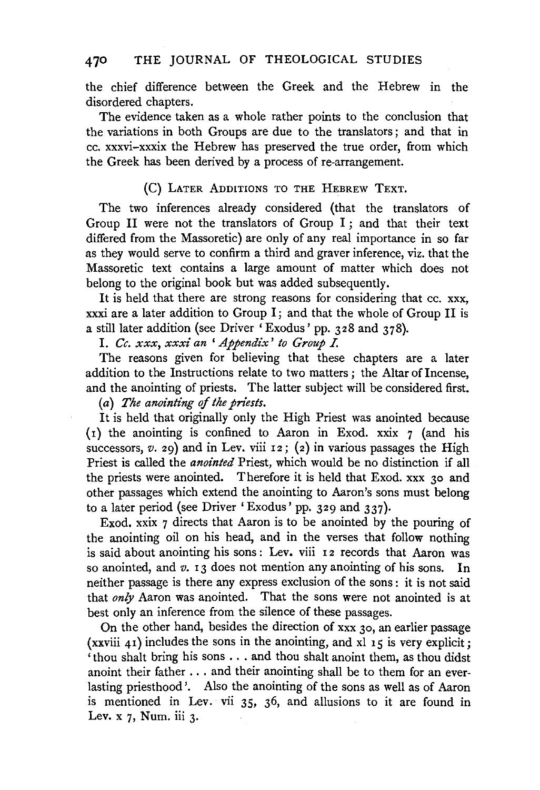#### **470** THE JOURNAL OF THEOLOGICAL STUDIES

the chief difference between the Greek and the Hebrew in the disordered chapters.

The evidence taken as a whole rather points to the conclusion that the variations in both Groups are due to the translators ; and that in cc. xxxvi-xxxix the Hebrew has preserved the true order, from which the Greek has been derived by a process of re-arrangement.

#### (C) LATER ADDITIONS TO THE HEBREW TEXT.

The two inferences already considered (that the translators of Group II were not the translators of Group I ; and that their text differed from the Massoretic) are only of any real importance in so far as they would serve to confirm a third and graver inference, viz. that the Massoretic text contains a large amount of matter which does not belong to the original book but was added subsequently.

It is held that there are strong reasons for considering that cc. xxx, xxxi are a later addition to Group I; and that the whole of Group II is a still later addition (see Driver 'Exodus' pp. 328 and 378).

I. *Cc. xxx, xxxi an* ' *Appendix' to Group* I.

The reasons given for believing that these chapters are a later addition to the Instructions relate to two matters; the Altar of Incense, and the anointing of priests. The latter subject will be considered first.

(a) *The anointing* of *the priests.* 

It is held that originally only the High Priest was anointed because (1) the anointing is confined to Aaron in Exod. xxix 7 (and his successors, *v.* 29) and in Lev. viii 12; (2) in various passages the High Priest is called the *anointed* Priest, which would be no distinction if all the priests were anointed. Therefore it is held that Exod. xxx 30 and other passages which extend the anointing to Aaron's sons must belong to a later period (see Driver 'Exodus' pp. 329 and 337).

Exod. xxix 7 directs that Aaron is to be anointed by the pouring of the anointing oil on his head, and in the verses that follow nothing is said about anointing his sons: Lev. viii 12 records that Aaron was so anointed, and *v.* 13 does not mention any anointing of his sons. In neither passage is there any express exclusion of the sons : it is not said that *only* Aaron was anointed. That the sons were not anointed is at best only an inference from the silence of these passages.

On the other hand, besides the direction of xxx 30, an earlier passage (xxviii 41) includes the sons in the anointing, and xl 15 is very explicit; ' thou shalt bring his sons ... and thou shalt anoint them, as thou didst anoint their father ... and their anointing shall be to them for an everlasting priesthood '. Also the anointing of the sons as well as of Aaron is mentioned in Lev. vii 35, 36, and allusions to it are found in Lev. x 7, Num. iii 3.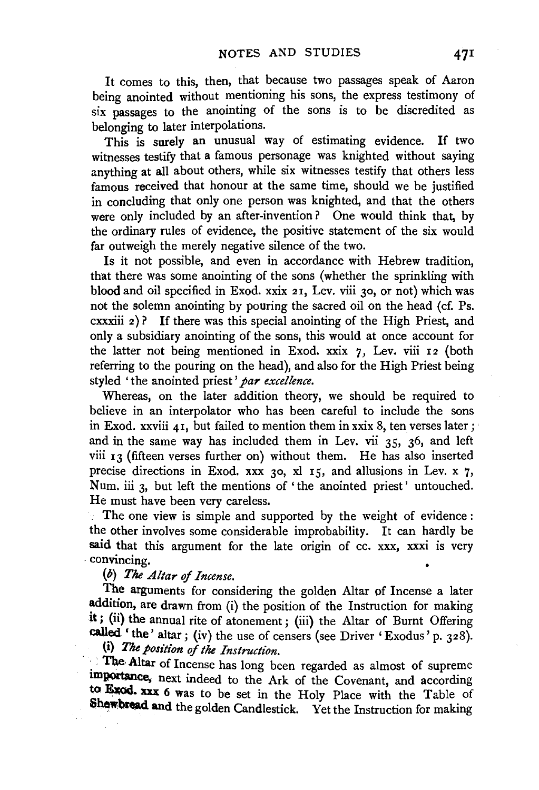It comes to this, then, that because two passages speak of Aaron being anointed without mentioning his sons, the express testimony of six passages to the anointing of the sons is to be discredited as belonging to later interpolations.

This is surely an unusual way of estimating evidence. If two witnesses testify that a famous personage was knighted without saying anything at all about others, while six witnesses testify that others less famous received that honour at the same time, should we be justified in concluding that only one person was knighted, and that the others were only included by an after-invention? One would think that, by the ordinary rules of evidence, the positive statement of the six would far outweigh the merely negative silence of the two.

Is it not possible, and even in accordance with Hebrew tradition, that there was some anointing of the sons (whether the sprinkling with blood and oil specified in Exod. xxix 21, Lev. viii 30, or not) which was not the solemn anointing by pouring the sacred oil on the head (cf. Ps. cxxxiii 2) ? If there was this special anointing of the High Priest, and only a subsidiary anointing of the sons, this would at once account for the latter not being mentioned in Exod. xxix 7, Lev. viii 12 (both referring to the pouring on the head), and also for the High Priest being styled 'the anointed priest' *par excellence.* 

Whereas, on the later addition theory, we should be required to believe in an interpolator who has been careful to include the sons in Exod. xxviii 41, but failed to mention them in xxix 8, ten verses later; and in the same way has included them in Lev. vii 35, 36, and left viii  $13$  (fifteen verses further on) without them. He has also inserted precise directions in Exod. xxx 30, xl 15, and allusions in Lev. x 7, Num. iii 3, but left the mentions of 'the anointed priest' untouched. He must have been very careless.

The one view is simple and supported by the weight of evidence : the other involves some considerable improbability. It can hardly be said that this argument for the late origin of cc. xxx, xxxi is very · convincing.

## (b) *The Altar of Incense.*

The arguments for considering the golden Altar of Incense a later addition, are drawn from (i) the position of the Instruction for making it; (ii) the annual rite of atonement; (iii) the Altar of Burnt Offering called 'the' altar; (iv) the use of censers (see Driver 'Exodus' p. 328).

(i) The position of the Instruction.

The Altar of Incense has long been regarded as almost of supreme importance. next indeed to the Ark of the Covenant, and according to Exod. xxx 6 was to be set in the Holy Place with the Table of Shewbread and the golden Candlestick. Yet the Instruction for making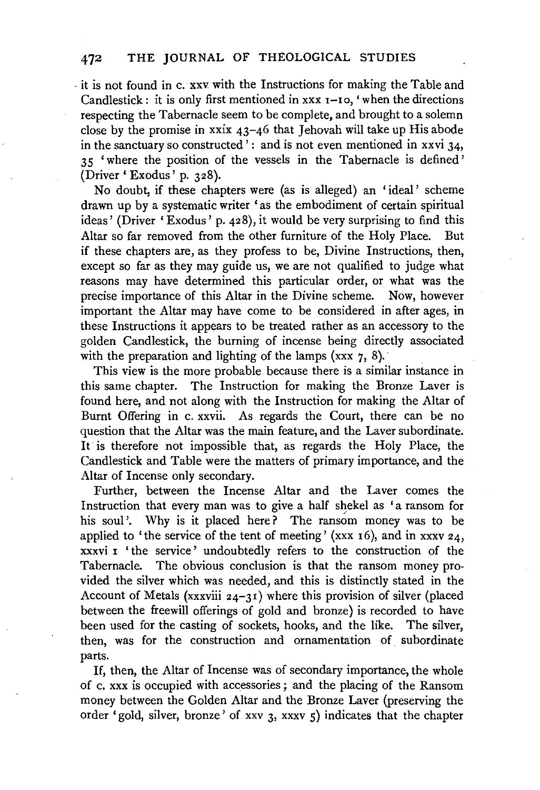. it is not found in c. xxv. with the Instructions for making the Table and Candlestick: it is only first mentioned in  $x \times x$   $-1$ o, 'when the directions respecting the Tabernacle seem to be complete, and brought to a solemn close by the promise in xxix  $43-46$  that Jehovah will take up His abode in the sanctuary so constructed  $\cdot$ : and is not even mentioned in xxvi 34, 35 'where the position of the vessels in the Tabernacle is defined' (Driver ' Exodus' p. 328).

No doubt, if these chapters were (as is alleged) an 'ideal' scheme drawn up by a systematic writer 'as the embodiment of certain spiritual ideas' (Driver 'Exodus' p. 428), it would be very surprising to find this Altar so far removed from the other furniture of the Holy Place. But if these chapters are, as they profess to be, Divine Instructions, then, except so far as they may guide us, we are not qualified to judge what reasons may have determined this particular order, or what was the precise importance of this Altar in the Divine scheme. Now, however important the Altar may have come to be considered in after ages, in these Instructions it appears to be treated rather as an accessory to the golden Candlestick, the burning of incense being directly associated with the preparation and lighting of the lamps  $(xxx, 7, 8)$ .

This view is the more probable because there is a similar instance in this same chapter. The Instruction for making the Bronze Laver is found here, and not along with the Instruction for making the Altar of Burnt Offering in c. xxvii. As regards the Court, there can be no question that the Altar was the main feature, and the Laver subordinate. It is therefore not impossible that, as regards the Holy Place, the Candlestick and Table were the matters of primary importance, and the Altar of Incense only secondary.

Further, between the Incense Altar and the Laver comes the Instruction that every man was to give a half shekel as 'a ransom for his soul'. Why is it placed here? The ransom money was to be applied to 'the service of the tent of meeting' (xxx 16), and in xxxv 24, xxxvi 1 'the service' undoubtedly refers to the construction of the Tabernacle. The obvious conclusion is that the ransom money provided the silver which was needed, and this is distinctly stated in the Account of Metals (xxxviii 24-31) where this provision of silver (placed between the freewill offerings of gold and bronze) is recorded to have been used for the casting of sockets, hooks, and the like. The silver, then, was for the construction and ornamentation of subordinate parts.

If, then, the Altar of Incense was of secondary importance, the whole of c. xxx is occupied with accessories ; and the placing of the Ransom money between the Golden Altar and the Bronze Laver (preserving the order 'gold, silver, bronze' of xxv 3, xxxv 5) indicates that the chapter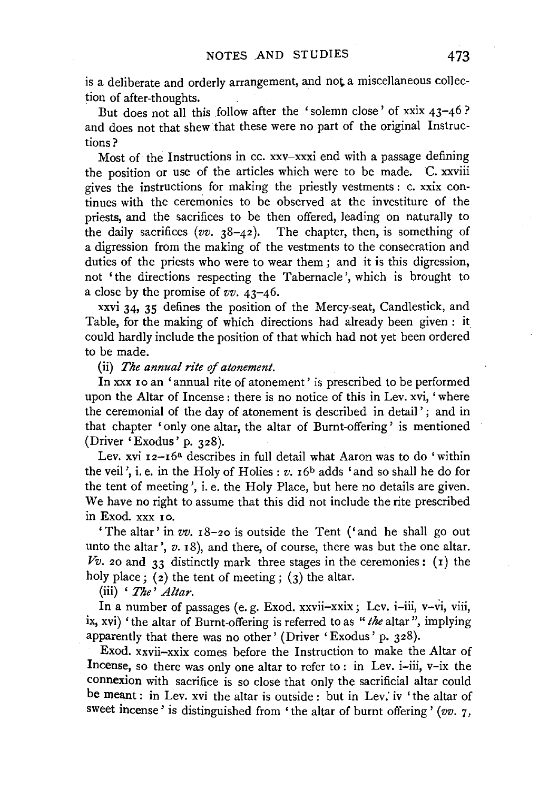is a deliberate and orderly arrangement, and not a miscellaneous collection of after-thoughts.

But does not all this follow after the 'solemn close' of xxix 43-46 ? and does not that shew that these were no part of the original Instructions?

Most of the Instructions in cc. xxv-xxxi end with a passage defining the position or use of the articles which were to be made. C. xxviii gives the instructions for making the priestly vestments : c. xxix continues with the ceremonies to be observed at the investiture of the priests, and the sacrifices to be then offered, leading on naturally to the daily sacrifices  $(vv. 38-42)$ . The chapter, then, is something of a digression from the making of the vestments to the consecration and duties of the priests who were to wear them; and it is this digression, not 'the directions respecting the Tabernacle', which is brought to a close by the promise of *vv.* 43-46.

xxvi 34, 35 defines the position of the Mercy-seat, Candlestick, and Table, for the making of which directions had already been given : it. could hardly include the position of that which had not yet been ordered to be made.

(ii) *The annual rite of atonement.* 

In xxx 10 an 'annual rite of atonement' is prescribed to be performed upon the Altar of Incense : there is no notice of this in Lev. xvi, 'where the ceremonial of the day of atonement is described in detail' ; and in that chapter 'only one altar, the altar of Burnt-offering' is mentioned (Driver 'Exodus' p. 328).

Lev. xvi 12-16<sup>a</sup> describes in full detail what Aaron was to do 'within the veil', i.e. in the Holy of Holies :  $v$ .  $16<sup>b</sup>$  adds 'and so shall he do for the tent of meeting', i. e. the Holy Place, but here no details are given. We have no right to assume that this did not include the rite prescribed in Exod. xxx 1 o.

'The altar' in *vv.* 18-20 is outside the Tent ('and he shall go out unto the altar', *v.* 18), and there, of course, there was but the one altar.  $Vv.$  20 and 33 distinctly mark three stages in the ceremonies: (1) the holy place;  $(2)$  the tent of meeting;  $(3)$  the altar.

(iii) ' *The' Altar.* 

In a number of passages (e. g. Exod. xxvii-xxix; Lev. i-iii, v-vi, viii, ix, xvi) 'the altar of Burnt-offering is referred to as *"the* altar", implying apparently that there was no other' (Driver 'Exodus' p. 328).

Exod. xxvii-xxix comes before the Instruction to make the Altar of Incense, so there was only one altar to refer to: in Lev. i-iii, v-ix the connexion with sacrifice is so close that only the sacrificial altar could be meant : in Lev. xvi the altar is outside : but in Lev: iv 'the altar of sweet incense' is distinguished from 'the altar of burnt offering' (vv. 7,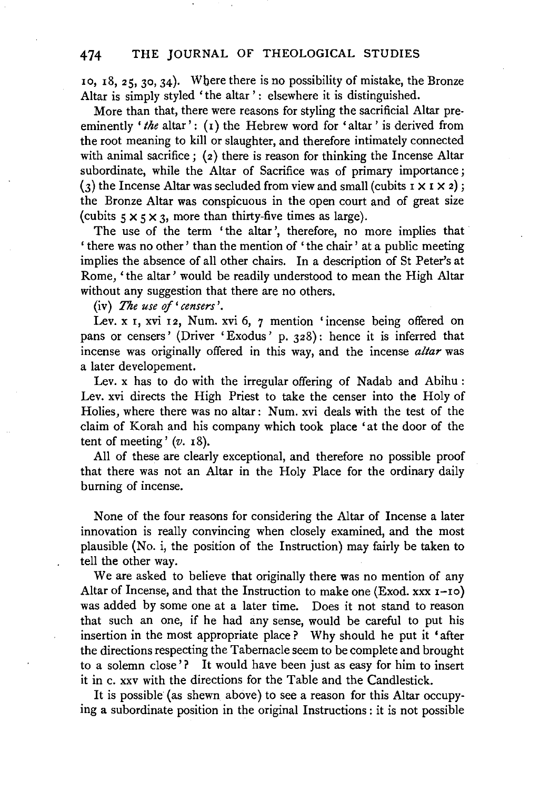10, 18, 25, 30, 34). Wbere there is no possibility of mistake, the Bronze Altar is simply styled 'the altar': elsewhere it is distinguished.

More than that, there were reasons for styling the sacrificial Altar preeminently 'the altar': (1) the Hebrew word for 'altar' is derived from the root meaning to kill or slaughter, and therefore intimately connected with animal sacrifice ;  $(z)$  there is reason for thinking the Incense Altar subordinate, while the Altar of Sacrifice was of primary importance; (3) the Incense Altar was secluded from view and small (cubits  $1 \times 1 \times 2$ ); the Bronze Altar was conspicuous in the open court and of great size (cubits  $5 \times 5 \times 3$ , more than thirty-five times as large).

The use of the term 'the altar', therefore, no more implies that ' there was no other' than the mention of 'the chair ' at a public meeting implies the absence of all other chairs. In a description of St Peter's at Rome, 'the altar' would be readily understood to mean the High Altar without any suggestion that there are no others.

(iv) *The use* of' *censers'.* 

Lev. x 1, xvi 12, Num. xvi 6, 7 mention 'incense being offered on pans or censers' (Driver 'Exodus' p. 328): hence it is inferred that incense was originally offered in this way, and the incense *altar* was a later developement.

Lev. x has to do with the irregular offering of Nadab and Abihu : Lev. xvi directs the High Priest to take the censer into the Holy of Holies, where there was no altar: Num. xvi deals with the test of the claim of Korah and his company which took place 'at the door of the tent of meeting'  $(v. 18)$ .

All of these are clearly exceptional, and therefore no possible proof that there was not an Altar in the Holy Place for the ordinary daily burning of incense.

None of the four reasons for considering the Altar of Incense a later innovation is really convincing when closely examined, and the most plausible (No. i, the position of the Instruction) may fairly be taken to tell the other way.

We are asked to believe that originally there was no mention of any Altar of Incense, and that the Instruction to make one (Exod. xxx 1-10) was added by some one at a later time. Does it not stand to reason that such an one, if he had any sense, would be careful to put his insertion in the most appropriate place ? Why should he put it 'after the directions respecting the Tabernacle seem to be complete and brought to a solemn close'? It would have been just as easy for him to insert it in c. xxv with the directions for the Table and the Candlestick.

It is possible (as shewn above) to see a reason for this Altar occupying a subordinate position in the original Instructions : it is not possible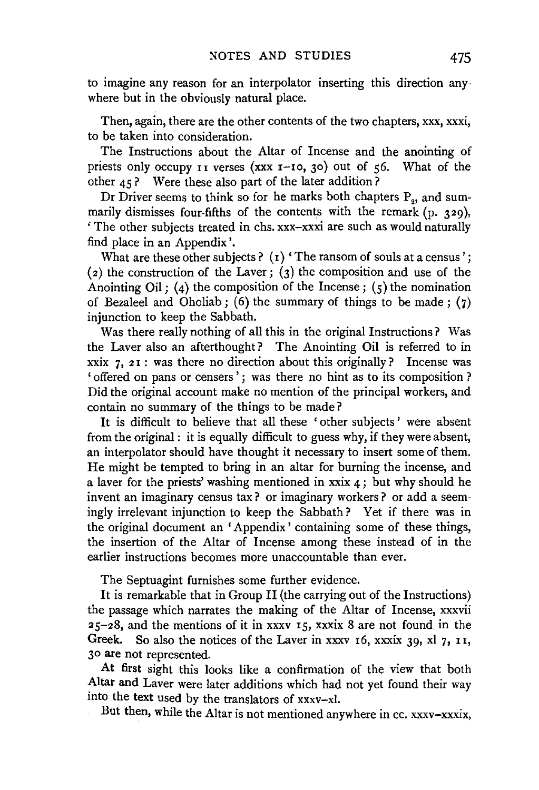to imagine any reason for an interpolator inserting this direction anywhere but in the obviously natural place.

Then, again, there are the other contents of the two chapters, xxx, xxxi, to be taken into consideration.

The Instructions about the Altar of Incense and the anointing of priests only occupy II verses (xxx 1-10, 30) out of 56. What of the other 45? Were these also part of the later addition?

Dr Driver seems to think so for he marks both chapters  $P_{2}$ , and summarily dismisses four-fifths of the contents with the remark (p. 329), ' The other subjects treated in chs. xxx-xxxi are such as would naturally find place in an Appendix'.

What are these other subjects ? ( $i$ ) 'The ransom of souls at a census'; (2) the construction of the Laver; (3) the composition and use of the Anointing Oil; (4) the composition of the Incense;  $(5)$  the nomination of Bezaleel and Oholiab; (6) the summary of things to be made;  $(7)$ injunction to keep the Sabbath.

Was there really nothing of all this in the original Instructions? Was the Laver also an afterthought? The Anointing Oil is referred to in xxix  $7, 21$ : was there no direction about this originally? Incense was ' offered on pans or censers'; was there no hint as to its composition ? Did the original account make no mention of the principal workers, and contain no summary of the things to be made?

It is difficult to believe that all these ' other subjects ' were absent from the original : it is equally difficult to guess why, if they were absent, an interpolator should have thought it necessary to insert some of them. He might be tempted to bring in an altar for burning the incense, and a laver for the priests' washing mentioned in  $x$ xix  $\boldsymbol{4}$ ; but why should he invent an imaginary census tax? or imaginary workers? or add a seemingly irrelevant injunction to keep the Sabbath? Yet if there was in the original document an 'Appendix' containing some of these things, the insertion of the Altar of Incense among these instead of in the earlier instructions becomes more unaccountable than ever.

The Septuagint furnishes some further evidence.

It is remarkable that in Group II (the carrying out of the Instructions) the passage which narrates the making of the Altar of Incense, xxxvii 25-28, and the mentions of it in xxxv 15, xxxix 8 are not found in the Greek. So also the notices of the Laver in xxxv  $16$ , xxxix 39, xl 7,  $11$ , 30 are not represented.

At first sight this looks like a confirmation of the view that both Altar and Laver were later additions which had not yet found their way into the text used by the translators of xxxv-xl.

But then, while the Altar is not mentioned anywhere in cc. xxxv-xxxix,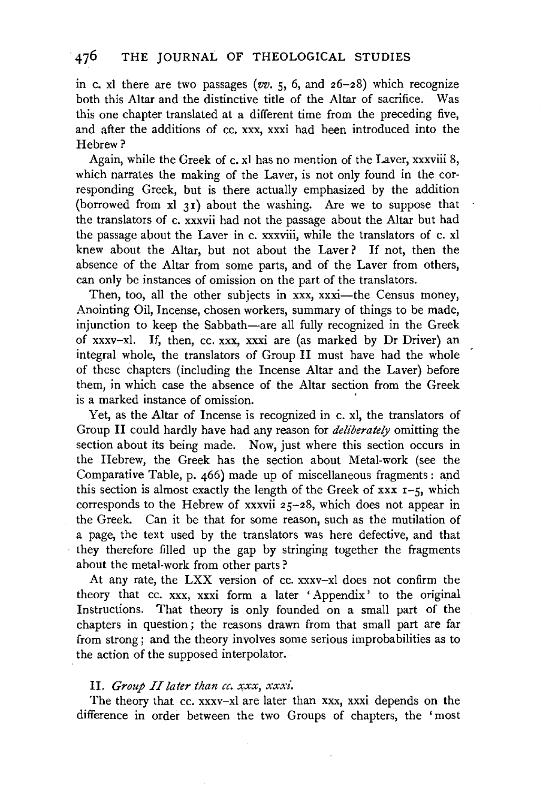in c. xl there are two passages ( $vv$ . 5, 6, and  $26-28$ ) which recognize both this Altar and the distinctive title of the Altar of sacrifice. Was this one chapter translated at a different time from the preceding five, and after the additions of cc. xxx, xxxi had been introduced into the Hebrew?

Again, while the Greek of c. xl has no mention of the Laver, xxxviii 8, which narrates the making of the Laver, is not only found in the corresponding Greek, but is there actually emphasized by the addition (borrowed from  $x1$  31) about the washing. Are we to suppose that the translators of c. xxxvii had not the passage about the Altar but had the passage about the Laver in c. xxxviii, while the translators of c. xl knew about the Altar, but not about the Laver? If not, then the absence of the Altar from some parts, and of the Laver from others, can only be instances of omission on the part of the translators.

Then, too, all the other subjects in xxx, xxxi-the Census money, Anointing Oil, Incense, chosen workers, summary of things to be made, injunction to keep the Sabbath-are all fully recognized in the Greek of xxxv-xl. If, then, cc. xxx, xxxi are (as marked by Dr Driver) an integral whole, the translators of Group II must have had the whole of these chapters (including the Incense Altar and the Laver) before them, in which case the absence of the Altar section from the Greek is a marked instance of omission. '

Yet, as the Altar of Incense is recognized in c. xl, the translators of Group II could hardly have had any reason for *deliberately* omitting the section about its being made. Now, just where this section occurs in the Hebrew, the Greek has the section about Metal-work (see the Comparative Table, p. 466) made up of miscellaneous fragments : and this section is almost exactly the length of the Greek of  $xxx$  r-5, which corresponds to the Hebrew of xxxvii 25-28, which does not appear in the Greek. Can it be that for some reason, such as the mutilation of a page, the text used by the translators was here defective, and that they therefore filled up the gap by stringing together the fragments about the metal-work from other parts?

At any rate, the LXX version of cc. xxxv-xl does not confirm the theory that cc. xxx, xxxi form a later ' Appendix ' to the original Instructions. That theory is only founded on a small part of the chapters in question; the reasons drawn from that small part are far from strong; and the theory involves some serious improbabilities as to the action of the supposed interpolator.

#### II. *Group II later than cc. xxx, xxxi.*

The theory that cc. xxxv-xl are later than xxx, xxxi depends on the difference in order between the two Groups of chapters, the 'most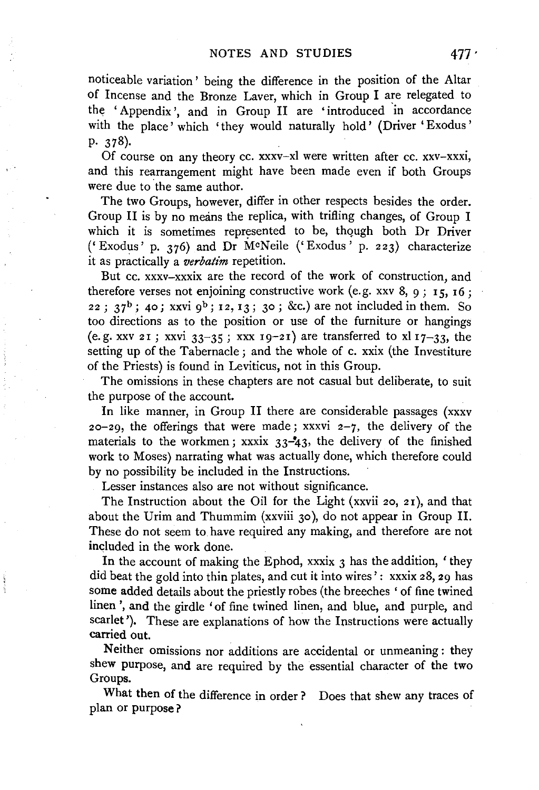noticeable variation ' being the difference in the position of the Altar of Incense and the Bronze Laver, which in Group I are relegated to the ' Appendix ', and in Group II are ' introduced 'in accordance with the place' which 'they would naturally hold' (Driver 'Exodus' p. 378).

Of course on any theory cc. xxxv-xl were written after cc. xxv-xxxi, and this rearrangement might have been made even if both Groups were due to the same author.

The two Groups, however, differ in other respects besides the order. Group II is by no means the replica, with trifling changes, of Group I which it is sometimes represented to be, though both Dr Driver ('Exodus' p. 376) and Dr M0Neile ('Exodus' p. 223) characterize it as practically a *verbatim* repetition.

But cc. xxxv-xxxix are the record of the work of construction, and therefore verses not enjoining constructive work (e.g. xxv 8, 9; 15, 16; 22;  $37^b$ ; 40; xxvi 9<sup>b</sup>; 12, 13; 30; &c.) are not included in them. So too directions as to the position or use of the furniture or hangings (e.g. xxv 21; xxvi  $33-35$ ; xxx 19-21) are transferred to xl 17-33, the setting up of the Tabernacle; and the whole of c. xxix (the Investiture of the Priests) is found in Leviticus, not in this Group.

The omissions in these chapters are not casual but deliberate, to suit the purpose of the account.

In like manner, in Group II there are considerable passages (xxxv 20-29, the offerings that were made; xxxvi  $2-7$ , the delivery of the materials to the workmen; xxxix  $33-43$ , the delivery of the finished work to Moses) narrating what was actually done, which therefore could by no possibility be included in the Instructions.

Lesser instances also are not without significance.

The Instruction about the Oil for the Light (xxvii 20, 21), and that about the Urim and Thummim (xxviii 30), do not appear in Group II. These do not seem to have required any making, and therefore are not included in the work done.

In the account of making the Ephod, xxxix 3 has the addition, 'they did beat the gold into thin plates, and cut it into wires' : xxxix 28, 29 has some added details about the priestly robes (the breeches 'of fine twined linen ', and the girdle 'of fine twined linen, and blue, and purple, and scarlet'). These are explanations of how the Instructions were actually carried out.

Neither omissions nor additions are accidental or unmeaning: they shew purpose, and are required by the essential character of the two Groups.

What then of the difference in order ? Does that shew any traces of plan or purpose ?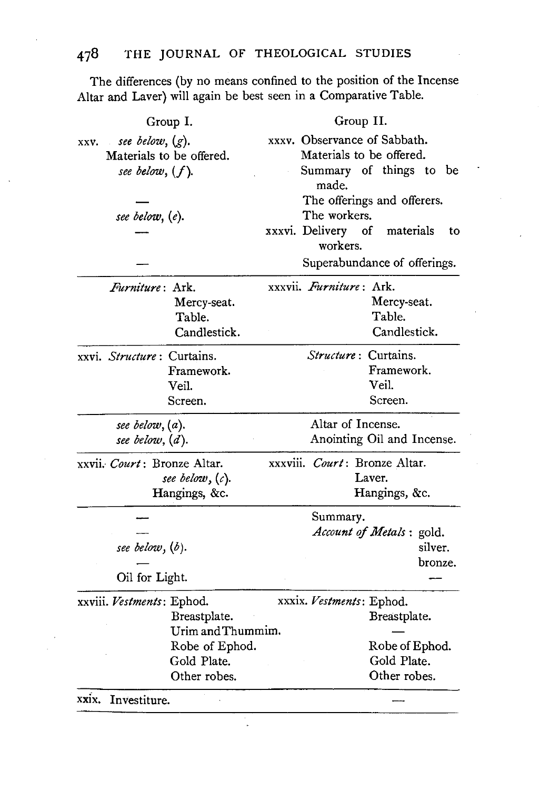The differences (by no means confined to the position of the Incense Altar and Laver) will again be best seen in a Comparative Table.

| Group I.                                                                                                        | Group II.                                                                                                                                                                      |
|-----------------------------------------------------------------------------------------------------------------|--------------------------------------------------------------------------------------------------------------------------------------------------------------------------------|
| see below, $(g)$ .<br>XXV.<br>Materials to be offered.<br>see below, $(f)$ .<br>see below, (e).                 | xxxv. Observance of Sabbath.<br>Materials to be offered.<br>Summary of things to be<br>made.<br>The offerings and offerers.<br>The workers.<br>xxxvi. Delivery of<br>materials |
|                                                                                                                 | to<br>workers.<br>Superabundance of offerings.                                                                                                                                 |
| Furniture: Ark.<br>Mercy-seat.<br>Table.<br>Candlestick.                                                        | xxxvii. Furniture: Ark.<br>Mercy-seat.<br>Table.<br>Candlestick.                                                                                                               |
| xxvi. Structure: Curtains.<br>Framework.<br>Veil.<br>Screen.                                                    | Structure: Curtains.<br>Framework.<br>Veil.<br>Screen.                                                                                                                         |
| see below, (a).<br>see below, $(d)$ .                                                                           | Altar of Incense.<br>Anointing Oil and Incense.                                                                                                                                |
| xxvii. Court: Bronze Altar.<br>see below, $(c)$ .<br>Hangings, &c.                                              | xxxviii. Court: Bronze Altar.<br>Laver.<br>Hangings, &c.                                                                                                                       |
| see below, $(b)$ .<br>Oil for Light.                                                                            | Summary.<br>Account of Metals : gold.<br>silver.<br>bronze.                                                                                                                    |
| xxviii. Vestments: Ephod.<br>Breastplate.<br>Urim and Thummim.<br>Robe of Ephod.<br>Gold Plate.<br>Other robes. | xxxix. Vestments: Ephod.<br>Breastplate.<br>Robe of Ephod.<br>Gold Plate.<br>Other robes.                                                                                      |
| xxix. Investiture.                                                                                              |                                                                                                                                                                                |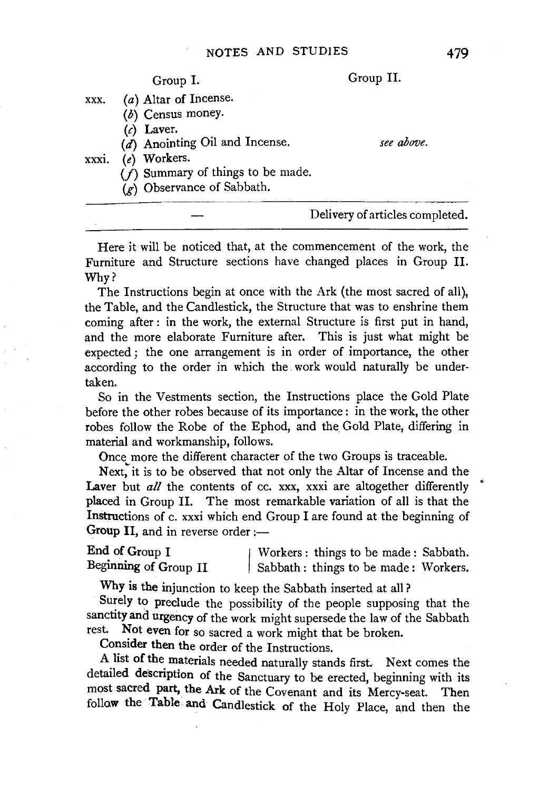Group I. Group II. xxx. (a) Altar of Incense. (b) Census money.  $(c)$  Laver. (d) Anointing Oil and Incense. xxx1. (e) Workers.  $(f)$  Summary of things to be made.  $(r)$  Observance of Sabbath. *see above.*  Delivery of articles completed.

Here it will be noticed that, at the commencement of the work, the Furniture and Structure sections have changed places in Group II. Why?

The Instructions begin at once with the Ark (the most sacred of all), the Table, and the Candlestick, the Structure that was to enshrine them coming after : in the work, the external Structure is first put in hand, and the more elaborate Furniture after. This is just what might be expected ; the one arrangement is in order of importance, the other according to the order in which the work would naturally be undertaken.

So in the Vestments section, the Instructions place the Gold Plate before the other robes because of its importance: in the work, the other robes follow the Robe of the Ephod, and the Gold Plate, differing in material and workmanship, follows.

Once more the different character of the two Groups is traceable.

Next, it is to be observed that not only the Altar of Incense and the Laver but *all* the contents of cc. xxx, xxxi are altogether differently placed in Group II. The most remarkable variation of all is that the Instructions of c. xxxi which end Group I are found at the beginning of Group II, and in reverse order  $:$ —

End of Group I<br>Beginning of Group II End of Group I Workers: things to be made: Sabbath.<br>Beginning of Group II Sabbath: things to be made: Workers.

Why is the injunction to keep the Sabbath inserted at all?

Surely to preclude the possibility of the people supposing that the sanctity and urgency of the work might supersede the law of the Sabbath rest. Not even for so spared a work might that he broken Not even for so sacred a work might that be broken.

Consider then the order of the Instructions.

A list of the materials needed naturally stands first. Next comes the detailed description of the Sanctuary to be erected, beginning with its most sacred part, the Ark of the Covenant and its Mercy-seat. Then follow the Table and Candlestick of the Holy Place, and then the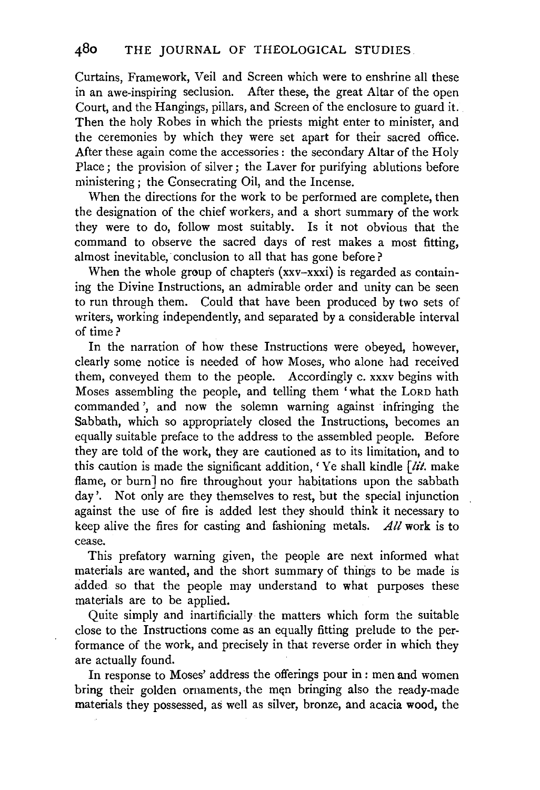Curtains, Framework, Veil and Screen which were to enshrine all these in an awe-inspiring seclusion. After these, the great Altar of the open Court, and the Hangings, pillars, and Screen of the enclosure to guard it. Then the holy Robes in which the priests might enter to minister, and the ceremonies by which they were set apart for their sacred office. After these again come the accessories : the secondary Altar of the Holy Place; the provision of silver; the Laver for purifying ablutions before ministering; the Consecrating Oil, and the Incense.

When the directions for the work to be performed are complete, then the designation of the chief workers, and a short summary of the work they were to do, follow most suitably. Is it not obvious that the command to observe the sacred days of rest makes a most fitting, almost inevitable, conclusion to all that has gone before?

When the whole group of chapters  $(xxy-xxxi)$  is regarded as containing the Divine Instructions, an admirable order and unity can be seen to run through them. Could that have been produced by two sets of writers, working independently, and separated by a considerable interval of time?

In the narration of how these Instructions were obeyed, however, clearly some notice is needed of how Moses, who alone had received them, conveyed them to the people. Accordingly c. xxxv begins with Moses assembling the people, and telling them 'what the LORD hath commanded ', and now the solemn warning against infringing the Sabbath, which so appropriately closed the Instructions, becomes an equally suitable preface to the address to the assembled people. Before they are told of the work, they are cautioned as to its limitation, and to this caution is made the significant addition, ' Ye shall kindle *[lit.* make flame, or burn] no fire throughout your habitations upon the sabbath day'. Not only are they themselves to rest, but the special injunction against the use of fire is added lest they should think it necessary to keep alive the fires for casting and fashioning metals. *All* work is to cease.

This prefatory warning given, the people are next informed what materials are wanted, and the short summary of things to be made is added so that the people may understand to what purposes these materials are to be applied.

Quite simply and inartificially the matters which form the suitable close to the Instructions come as an equally fitting prelude to the performance of the work, and precisely in that reverse order in which they are actually found.

In response to Moses' address the offerings pour in : men and women bring their golden ornaments, the men bringing also the ready-made materials they possessed, as well as silver, bronze, and acacia wood, the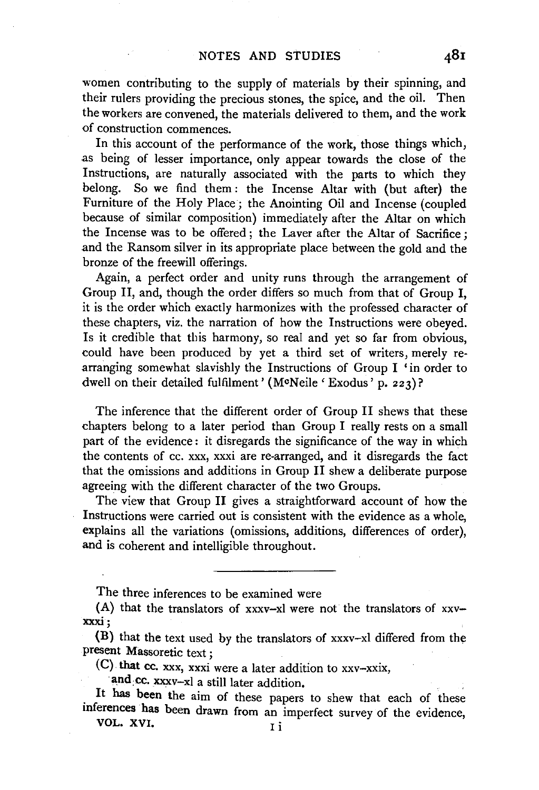women contributing to the supply of materials by their spinning, and their rulers providing the precious stones, the spice, and the oil. Then the workers are convened, the materials delivered to them, and the work of construction commences.

In this account of the performance of the work, those things which, as being of lesser importance, only appear towards the close of the Instructions, are naturally associated with the parts to which they belong. So we find them : the Incense Altar with (but after) the Furniture of the Holy Place ; the Anointing Oil and Incense (coupled because of similar composition) immediately after the Altar on which the Incense was to be offered ; the Laver after the Altar of Sacrifice ; and the Ransom silver in its appropriate place between the gold and the bronze of the freewill offerings.

Again, a perfect order and unity runs through the arrangement of Group II, and, though the order differs so much from that of Group I, it is the order which exactly harmonizes with the professed character of these chapters, viz. the narration of how the Instructions were obeyed. Is it credible that this harmony, so real and yet so far from obvious, could have been produced by yet a third set of writers, merely rearranging somewhat slavishly the Instructions of Group I 'in order to dwell on their detailed fulfilment' (McNeile 'Exodus' p. 223)?

The inference that the different order of Group II shews that these chapters belong to a later period than Group I really rests on a small part of the evidence : it disregards the significance of the way in which the contents of cc. xxx, xxxi are re-arranged, and it disregards the fact that the omissions and additions in Group II shew a deliberate purpose agreeing with the different character of the two Groups.

The view that Group II gives a straightforward account of how the Instructions were carried out is consistent with the evidence as a whole, explains all the variations (omissions, additions, differences of order), and is coherent and intelligible throughout.

The three inferences to be examined were

(A) that the translators of xxxv-xl were not the translators of xxvxxxi;

{B) that the text used by the translators of xxxv-xl differed from the present Massoretic text ;

(C}. that cc. xxx, xxxi were a later addition to xxv-xxix,

and cc. xxxv-xl a still later addition.

. It has been the aim of these papers to shew that each of these inferences has been drawn from an imperfect survey of the evidence, VOL. XVI.